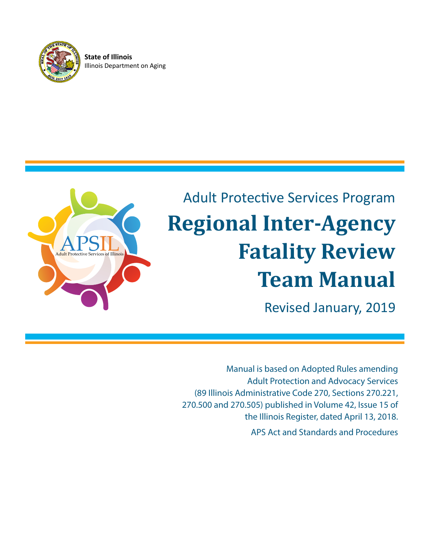

**State of Illinois** Illinois Department on Aging



# Adult Protective Services Program **Regional Inter-Agency Fatality Review Team Manual**

Revised January, 2019

Manual is based on Adopted Rules amending Adult Protection and Advocacy Services (89 Illinois Administrative Code 270, Sections 270.221, 270.500 and 270.505) published in Volume 42, Issue 15 of the Illinois Register, dated April 13, 2018.

APS Act and Standards and Procedures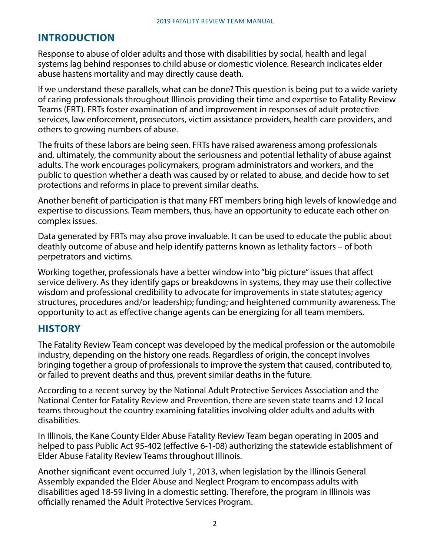# **INTRODUCTION**

Response to abuse of older adults and those with disabilities by social, health and legal systems lag behind responses to child abuse or domestic violence. Research indicates elder abuse hastens mortality and may directly cause death.

If we understand these parallels, what can be done? This question is being put to a wide variety of caring professionals throughout Illinois providing their time and expertise to Fatality Review Teams (FRT). FRTs foster examination of and improvement in responses of adult protective services, law enforcement, prosecutors, victim assistance providers, health care providers, and others to growing numbers of abuse.

The fruits of these labors are being seen. FRTs have raised awareness among professionals and, ultimately, the community about the seriousness and potential lethality of abuse against adults. The work encourages policymakers, program administrators and workers, and the public to question whether a death was caused by or related to abuse, and decide how to set protections and reforms in place to prevent similar deaths.

Another benefit of participation is that many FRT members bring high levels of knowledge and expertise to discussions. Team members, thus, have an opportunity to educate each other on complex issues.

Data generated by FRTs may also prove invaluable. It can be used to educate the public about deathly outcome of abuse and help identify patterns known as lethality factors – of both perpetrators and victims.

Working together, professionals have a better window into "big picture" issues that affect service delivery. As they identify gaps or breakdowns in systems, they may use their collective wisdom and professional credibility to advocate for improvements in state statutes; agency structures, procedures and/or leadership; funding; and heightened community awareness. The opportunity to act as effective change agents can be energizing for all team members.

### **HISTORY**

The Fatality Review Team concept was developed by the medical profession or the automobile industry, depending on the history one reads. Regardless of origin, the concept involves bringing together a group of professionals to improve the system that caused, contributed to, or failed to prevent deaths and thus, prevent similar deaths in the future.

According to a recent survey by the National Adult Protective Services Association and the National Center for Fatality Review and Prevention, there are seven state teams and 12 local teams throughout the country examining fatalities involving older adults and adults with disabilities.

In Illinois, the Kane County Elder Abuse Fatality Review Team began operating in 2005 and helped to pass Public Act 95-402 (effective 6-1-08) authorizing the statewide establishment of Elder Abuse Fatality Review Teams throughout Illinois.

Another significant event occurred July 1, 2013, when legislation by the Illinois General Assembly expanded the Elder Abuse and Neglect Program to encompass adults with disabilities aged 18-59 living in a domestic setting. Therefore, the program in Illinois was officially renamed the Adult Protective Services Program.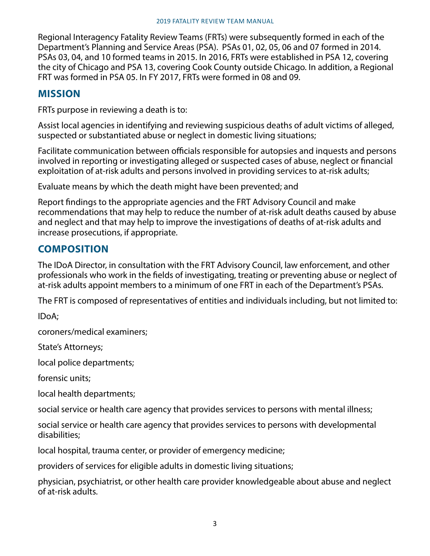Regional Interagency Fatality Review Teams (FRTs) were subsequently formed in each of the Department's Planning and Service Areas (PSA). PSAs 01, 02, 05, 06 and 07 formed in 2014. PSAs 03, 04, and 10 formed teams in 2015. In 2016, FRTs were established in PSA 12, covering the city of Chicago and PSA 13, covering Cook County outside Chicago. In addition, a Regional FRT was formed in PSA 05. In FY 2017, FRTs were formed in 08 and 09.

### **MISSION**

FRTs purpose in reviewing a death is to:

Assist local agencies in identifying and reviewing suspicious deaths of adult victims of alleged, suspected or substantiated abuse or neglect in domestic living situations;

Facilitate communication between officials responsible for autopsies and inquests and persons involved in reporting or investigating alleged or suspected cases of abuse, neglect or financial exploitation of at-risk adults and persons involved in providing services to at-risk adults;

Evaluate means by which the death might have been prevented; and

Report findings to the appropriate agencies and the FRT Advisory Council and make recommendations that may help to reduce the number of at-risk adult deaths caused by abuse and neglect and that may help to improve the investigations of deaths of at-risk adults and increase prosecutions, if appropriate.

# **COMPOSITION**

The IDoA Director, in consultation with the FRT Advisory Council, law enforcement, and other professionals who work in the fields of investigating, treating or preventing abuse or neglect of at-risk adults appoint members to a minimum of one FRT in each of the Department's PSAs.

The FRT is composed of representatives of entities and individuals including, but not limited to:

IDoA;

coroners/medical examiners;

State's Attorneys;

local police departments;

forensic units;

local health departments;

social service or health care agency that provides services to persons with mental illness;

social service or health care agency that provides services to persons with developmental disabilities;

local hospital, trauma center, or provider of emergency medicine;

providers of services for eligible adults in domestic living situations;

physician, psychiatrist, or other health care provider knowledgeable about abuse and neglect of at-risk adults.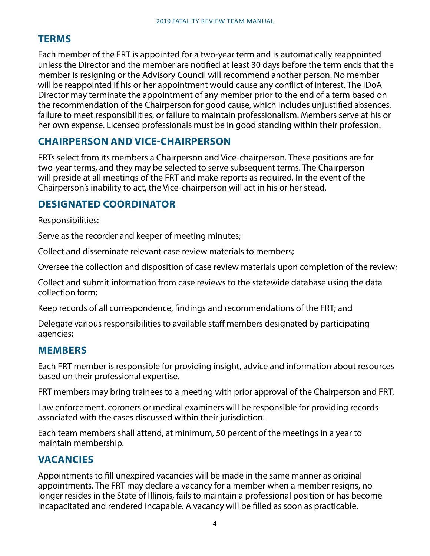# **TERMS**

Each member of the FRT is appointed for a two-year term and is automatically reappointed unless the Director and the member are notified at least 30 days before the term ends that the member is resigning or the Advisory Council will recommend another person. No member will be reappointed if his or her appointment would cause any conflict of interest. The IDoA Director may terminate the appointment of any member prior to the end of a term based on the recommendation of the Chairperson for good cause, which includes unjustified absences, failure to meet responsibilities, or failure to maintain professionalism. Members serve at his or her own expense. Licensed professionals must be in good standing within their profession.

# **CHAIRPERSON AND VICE-CHAIRPERSON**

FRTs select from its members a Chairperson and Vice-chairperson. These positions are for two-year terms, and they may be selected to serve subsequent terms. The Chairperson will preside at all meetings of the FRT and make reports as required. In the event of the Chairperson's inability to act, the Vice-chairperson will act in his or her stead.

# **DESIGNATED COORDINATOR**

Responsibilities:

Serve as the recorder and keeper of meeting minutes;

Collect and disseminate relevant case review materials to members;

Oversee the collection and disposition of case review materials upon completion of the review;

Collect and submit information from case reviews to the statewide database using the data collection form;

Keep records of all correspondence, findings and recommendations of the FRT; and

Delegate various responsibilities to available staff members designated by participating agencies;

# **MEMBERS**

Each FRT member is responsible for providing insight, advice and information about resources based on their professional expertise.

FRT members may bring trainees to a meeting with prior approval of the Chairperson and FRT.

Law enforcement, coroners or medical examiners will be responsible for providing records associated with the cases discussed within their jurisdiction.

Each team members shall attend, at minimum, 50 percent of the meetings in a year to maintain membership.

# **VACANCIES**

Appointments to fill unexpired vacancies will be made in the same manner as original appointments. The FRT may declare a vacancy for a member when a member resigns, no longer resides in the State of Illinois, fails to maintain a professional position or has become incapacitated and rendered incapable. A vacancy will be filled as soon as practicable.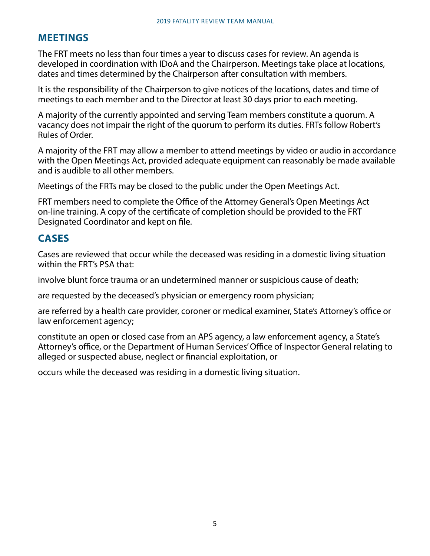# **MEETINGS**

The FRT meets no less than four times a year to discuss cases for review. An agenda is developed in coordination with IDoA and the Chairperson. Meetings take place at locations, dates and times determined by the Chairperson after consultation with members.

It is the responsibility of the Chairperson to give notices of the locations, dates and time of meetings to each member and to the Director at least 30 days prior to each meeting.

A majority of the currently appointed and serving Team members constitute a quorum. A vacancy does not impair the right of the quorum to perform its duties. FRTs follow Robert's Rules of Order.

A majority of the FRT may allow a member to attend meetings by video or audio in accordance with the Open Meetings Act, provided adequate equipment can reasonably be made available and is audible to all other members.

Meetings of the FRTs may be closed to the public under the Open Meetings Act.

FRT members need to complete the Office of the Attorney General's Open Meetings Act on-line training. A copy of the certificate of completion should be provided to the FRT Designated Coordinator and kept on file.

# **CASES**

Cases are reviewed that occur while the deceased was residing in a domestic living situation within the FRT's PSA that:

involve blunt force trauma or an undetermined manner or suspicious cause of death;

are requested by the deceased's physician or emergency room physician;

are referred by a health care provider, coroner or medical examiner, State's Attorney's office or law enforcement agency;

constitute an open or closed case from an APS agency, a law enforcement agency, a State's Attorney's office, or the Department of Human Services' Office of Inspector General relating to alleged or suspected abuse, neglect or financial exploitation, or

occurs while the deceased was residing in a domestic living situation.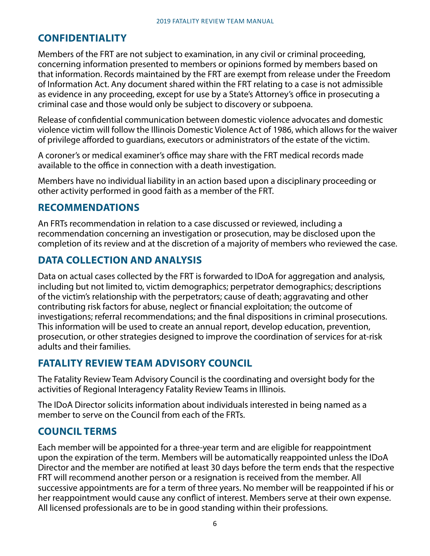# **CONFIDENTIALITY**

Members of the FRT are not subject to examination, in any civil or criminal proceeding, concerning information presented to members or opinions formed by members based on that information. Records maintained by the FRT are exempt from release under the Freedom of Information Act. Any document shared within the FRT relating to a case is not admissible as evidence in any proceeding, except for use by a State's Attorney's office in prosecuting a criminal case and those would only be subject to discovery or subpoena.

Release of confidential communication between domestic violence advocates and domestic violence victim will follow the Illinois Domestic Violence Act of 1986, which allows for the waiver of privilege afforded to guardians, executors or administrators of the estate of the victim.

A coroner's or medical examiner's office may share with the FRT medical records made available to the office in connection with a death investigation.

Members have no individual liability in an action based upon a disciplinary proceeding or other activity performed in good faith as a member of the FRT.

# **RECOMMENDATIONS**

An FRTs recommendation in relation to a case discussed or reviewed, including a recommendation concerning an investigation or prosecution, may be disclosed upon the completion of its review and at the discretion of a majority of members who reviewed the case.

# **DATA COLLECTION AND ANALYSIS**

Data on actual cases collected by the FRT is forwarded to IDoA for aggregation and analysis, including but not limited to, victim demographics; perpetrator demographics; descriptions of the victim's relationship with the perpetrators; cause of death; aggravating and other contributing risk factors for abuse, neglect or financial exploitation; the outcome of investigations; referral recommendations; and the final dispositions in criminal prosecutions. This information will be used to create an annual report, develop education, prevention, prosecution, or other strategies designed to improve the coordination of services for at-risk adults and their families.

# **FATALITY REVIEW TEAM ADVISORY COUNCIL**

The Fatality Review Team Advisory Council is the coordinating and oversight body for the activities of Regional Interagency Fatality Review Teams in Illinois.

The IDoA Director solicits information about individuals interested in being named as a member to serve on the Council from each of the FRTs.

# **COUNCIL TERMS**

Each member will be appointed for a three-year term and are eligible for reappointment upon the expiration of the term. Members will be automatically reappointed unless the IDoA Director and the member are notified at least 30 days before the term ends that the respective FRT will recommend another person or a resignation is received from the member. All successive appointments are for a term of three years. No member will be reappointed if his or her reappointment would cause any conflict of interest. Members serve at their own expense. All licensed professionals are to be in good standing within their professions.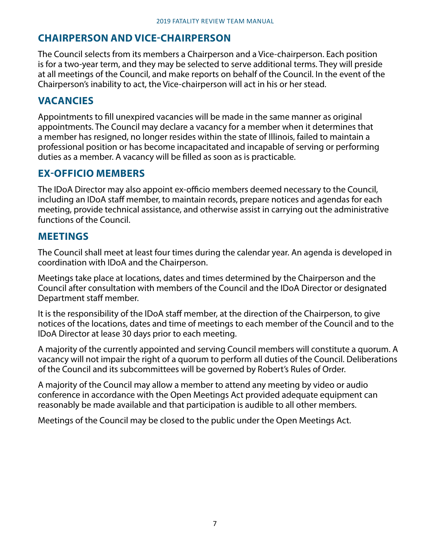# **CHAIRPERSON AND VICE-CHAIRPERSON**

The Council selects from its members a Chairperson and a Vice-chairperson. Each position is for a two-year term, and they may be selected to serve additional terms. They will preside at all meetings of the Council, and make reports on behalf of the Council. In the event of the Chairperson's inability to act, the Vice-chairperson will act in his or her stead.

## **VACANCIES**

Appointments to fill unexpired vacancies will be made in the same manner as original appointments. The Council may declare a vacancy for a member when it determines that a member has resigned, no longer resides within the state of Illinois, failed to maintain a professional position or has become incapacitated and incapable of serving or performing duties as a member. A vacancy will be filled as soon as is practicable.

# **EX-OFFICIO MEMBERS**

The IDoA Director may also appoint ex-officio members deemed necessary to the Council, including an IDoA staff member, to maintain records, prepare notices and agendas for each meeting, provide technical assistance, and otherwise assist in carrying out the administrative functions of the Council.

### **MEETINGS**

The Council shall meet at least four times during the calendar year. An agenda is developed in coordination with IDoA and the Chairperson.

Meetings take place at locations, dates and times determined by the Chairperson and the Council after consultation with members of the Council and the IDoA Director or designated Department staff member.

It is the responsibility of the IDoA staff member, at the direction of the Chairperson, to give notices of the locations, dates and time of meetings to each member of the Council and to the IDoA Director at lease 30 days prior to each meeting.

A majority of the currently appointed and serving Council members will constitute a quorum. A vacancy will not impair the right of a quorum to perform all duties of the Council. Deliberations of the Council and its subcommittees will be governed by Robert's Rules of Order.

A majority of the Council may allow a member to attend any meeting by video or audio conference in accordance with the Open Meetings Act provided adequate equipment can reasonably be made available and that participation is audible to all other members.

Meetings of the Council may be closed to the public under the Open Meetings Act.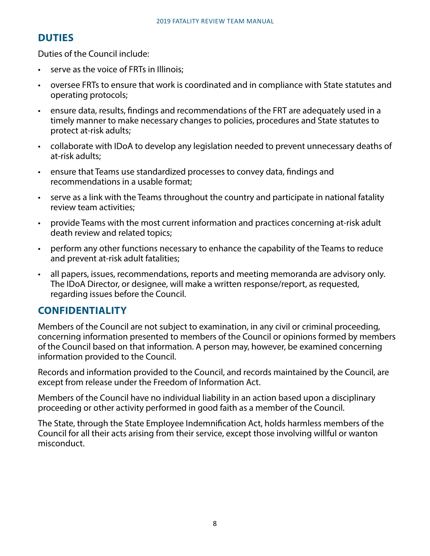# **DUTIES**

Duties of the Council include:

- serve as the voice of FRTs in Illinois:
- oversee FRTs to ensure that work is coordinated and in compliance with State statutes and operating protocols;
- ensure data, results, findings and recommendations of the FRT are adequately used in a timely manner to make necessary changes to policies, procedures and State statutes to protect at-risk adults;
- collaborate with IDoA to develop any legislation needed to prevent unnecessary deaths of at-risk adults;
- ensure that Teams use standardized processes to convey data, findings and recommendations in a usable format;
- serve as a link with the Teams throughout the country and participate in national fatality review team activities;
- provide Teams with the most current information and practices concerning at-risk adult death review and related topics;
- perform any other functions necessary to enhance the capability of the Teams to reduce and prevent at-risk adult fatalities;
- all papers, issues, recommendations, reports and meeting memoranda are advisory only. The IDoA Director, or designee, will make a written response/report, as requested, regarding issues before the Council.

### **CONFIDENTIALITY**

Members of the Council are not subject to examination, in any civil or criminal proceeding, concerning information presented to members of the Council or opinions formed by members of the Council based on that information. A person may, however, be examined concerning information provided to the Council.

Records and information provided to the Council, and records maintained by the Council, are except from release under the Freedom of Information Act.

Members of the Council have no individual liability in an action based upon a disciplinary proceeding or other activity performed in good faith as a member of the Council.

The State, through the State Employee Indemnification Act, holds harmless members of the Council for all their acts arising from their service, except those involving willful or wanton misconduct.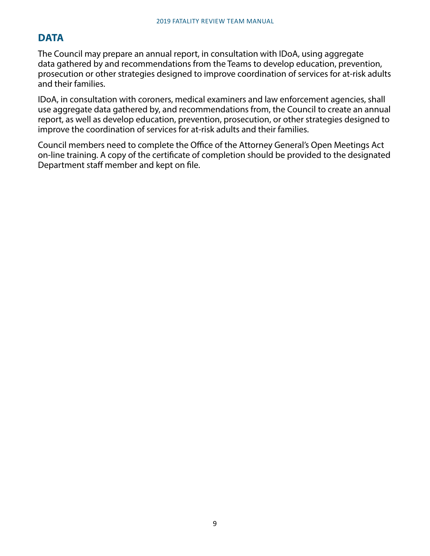# **DATA**

The Council may prepare an annual report, in consultation with IDoA, using aggregate data gathered by and recommendations from the Teams to develop education, prevention, prosecution or other strategies designed to improve coordination of services for at-risk adults and their families.

IDoA, in consultation with coroners, medical examiners and law enforcement agencies, shall use aggregate data gathered by, and recommendations from, the Council to create an annual report, as well as develop education, prevention, prosecution, or other strategies designed to improve the coordination of services for at-risk adults and their families.

Council members need to complete the Office of the Attorney General's Open Meetings Act on-line training. A copy of the certificate of completion should be provided to the designated Department staff member and kept on file.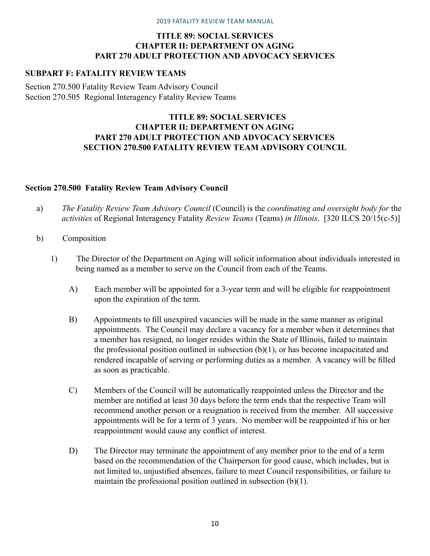### **TITLE 89: SOCIAL SERVICES CHAPTER II: DEPARTMENT ON AGING PART 270 ADULT PROTECTION AND ADVOCACY SERVICES**

### **SUBPART F: FATALITY REVIEW TEAMS**

[Section 270.500 Fatality Review Team Advisory Council](http://www.ilga.gov/commission/jcar/admincode/089/089002700F05000R.html) [Section 270.505 Regional Interagency Fatality Review Teams](http://www.ilga.gov/commission/jcar/admincode/089/089002700F05050R.html)

### **TITLE 89: SOCIAL SERVICES CHAPTER II: DEPARTMENT ON AGING PART 270 ADULT PROTECTION AND ADVOCACY SERVICES SECTION 270.500 FATALITY REVIEW TEAM ADVISORY COUNCIL**

### **Section 270.500 Fatality Review Team Advisory Council**

- a) *The Fatality Review Team Advisory Council* (Council) is the *coordinating and oversight body for* the *activities* of Regional Interagency Fatality *Review Teams* (Teams) *in Illinois*. [320 ILCS 20/15(c-5)]
- b) Composition
	- 1) The Director of the Department on Aging will solicit information about individuals interested in being named as a member to serve on the Council from each of the Teams.
		- A) Each member will be appointed for a 3-year term and will be eligible for reappointment upon the expiration of the term.
		- B) Appointments to fill unexpired vacancies will be made in the same manner as original appointments. The Council may declare a vacancy for a member when it determines that a member has resigned, no longer resides within the State of Illinois, failed to maintain the professional position outlined in subsection (b)(1), or has become incapacitated and rendered incapable of serving or performing duties as a member. A vacancy will be filled as soon as practicable.
		- C) Members of the Council will be automatically reappointed unless the Director and the member are notified at least 30 days before the term ends that the respective Team will recommend another person or a resignation is received from the member. All successive appointments will be for a term of 3 years. No member will be reappointed if his or her reappointment would cause any conflict of interest.
		- D) The Director may terminate the appointment of any member prior to the end of a term based on the recommendation of the Chairperson for good cause, which includes, but is not limited to, unjustified absences, failure to meet Council responsibilities, or failure to maintain the professional position outlined in subsection (b)(1).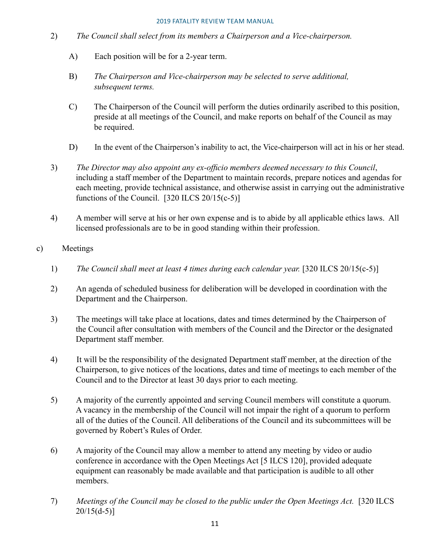- 2) *The Council shall select from its members a Chairperson and a Vice-chairperson.*
	- A) Each position will be for a 2-year term.
	- B) *The Chairperson and Vice-chairperson may be selected to serve additional, subsequent terms.*
	- C) The Chairperson of the Council will perform the duties ordinarily ascribed to this position, preside at all meetings of the Council, and make reports on behalf of the Council as may be required.
	- D) In the event of the Chairperson's inability to act, the Vice-chairperson will act in his or her stead.
- 3) *The Director may also appoint any ex-officio members deemed necessary to this Council*, including a staff member of the Department to maintain records, prepare notices and agendas for each meeting, provide technical assistance, and otherwise assist in carrying out the administrative functions of the Council.  $[320$  ILCS  $20/15(c-5)]$
- 4) A member will serve at his or her own expense and is to abide by all applicable ethics laws. All licensed professionals are to be in good standing within their profession.

### c) Meetings

- 1) *The Council shall meet at least 4 times during each calendar year.* [320 ILCS 20/15(c-5)]
- 2) An agenda of scheduled business for deliberation will be developed in coordination with the Department and the Chairperson.
- 3) The meetings will take place at locations, dates and times determined by the Chairperson of the Council after consultation with members of the Council and the Director or the designated Department staff member.
- 4) It will be the responsibility of the designated Department staff member, at the direction of the Chairperson, to give notices of the locations, dates and time of meetings to each member of the Council and to the Director at least 30 days prior to each meeting.
- 5) A majority of the currently appointed and serving Council members will constitute a quorum. A vacancy in the membership of the Council will not impair the right of a quorum to perform all of the duties of the Council. All deliberations of the Council and its subcommittees will be governed by Robert's Rules of Order.
- 6) A majority of the Council may allow a member to attend any meeting by video or audio conference in accordance with the Open Meetings Act [5 ILCS 120], provided adequate equipment can reasonably be made available and that participation is audible to all other members.
- 7) *Meetings of the Council may be closed to the public under the Open Meetings Act.* [320 ILCS  $20/15(d-5)$ ]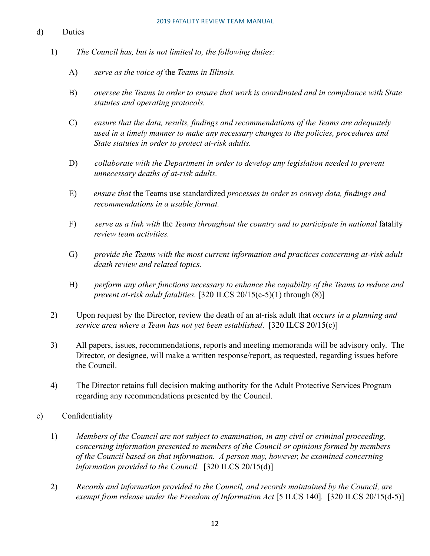### d) Duties

- 1) *The Council has, but is not limited to, the following duties:*
	- A) *serve as the voice of* the *Teams in Illinois.*
	- B) *oversee the Teams in order to ensure that work is coordinated and in compliance with State statutes and operating protocols.*
	- C) *ensure that the data, results, findings and recommendations of the Teams are adequately used in a timely manner to make any necessary changes to the policies, procedures and State statutes in order to protect at-risk adults.*
	- D) *collaborate with the Department in order to develop any legislation needed to prevent unnecessary deaths of at-risk adults.*
	- E) *ensure that* the Teams use standardized *processes in order to convey data, findings and recommendations in a usable format.*
	- F) *serve as a link with* the *Teams throughout the country and to participate in national* fatality *review team activities.*
	- G) *provide the Teams with the most current information and practices concerning at-risk adult death review and related topics.*
	- H) *perform any other functions necessary to enhance the capability of the Teams to reduce and prevent at-risk adult fatalities.* [320 ILCS 20/15(c-5)(1) through (8)]
- 2) Upon request by the Director, review the death of an at-risk adult that *occurs in a planning and service area where a Team has not yet been established*. [320 ILCS 20/15(c)]
- 3) All papers, issues, recommendations, reports and meeting memoranda will be advisory only. The Director, or designee, will make a written response/report, as requested, regarding issues before the Council.
- 4) The Director retains full decision making authority for the Adult Protective Services Program regarding any recommendations presented by the Council.
- e) Confidentiality
	- 1) *Members of the Council are not subject to examination, in any civil or criminal proceeding, concerning information presented to members of the Council or opinions formed by members of the Council based on that information. A person may, however, be examined concerning information provided to the Council.* [320 ILCS 20/15(d)]
	- 2) *Records and information provided to the Council, and records maintained by the Council, are exempt from release under the Freedom of Information Act* [5 ILCS 140]*.* [320 ILCS 20/15(d-5)]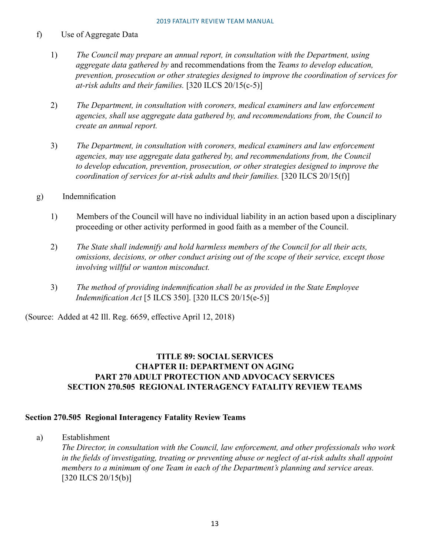### f) Use of Aggregate Data

- 1) *The Council may prepare an annual report, in consultation with the Department, using aggregate data gathered by* and recommendations from the *Teams to develop education, prevention, prosecution or other strategies designed to improve the coordination of services for at-risk adults and their families.* [320 ILCS 20/15(c-5)]
- 2) *The Department, in consultation with coroners, medical examiners and law enforcement agencies, shall use aggregate data gathered by, and recommendations from, the Council to create an annual report.*
- 3) *The Department, in consultation with coroners, medical examiners and law enforcement agencies, may use aggregate data gathered by, and recommendations from, the Council to develop education, prevention, prosecution, or other strategies designed to improve the coordination of services for at-risk adults and their families.* [320 ILCS 20/15(f)]
- g) Indemnification
	- 1) Members of the Council will have no individual liability in an action based upon a disciplinary proceeding or other activity performed in good faith as a member of the Council.
	- 2) *The State shall indemnify and hold harmless members of the Council for all their acts, omissions, decisions, or other conduct arising out of the scope of their service, except those involving willful or wanton misconduct.*
	- 3) *The method of providing indemnification shall be as provided in the State Employee Indemnification Act* [5 ILCS 350]. [320 ILCS 20/15(e-5)]

(Source: Added at 42 Ill. Reg. 6659, effective April 12, 2018)

### **TITLE 89: SOCIAL SERVICES CHAPTER II: DEPARTMENT ON AGING PART 270 ADULT PROTECTION AND ADVOCACY SERVICES SECTION 270.505 REGIONAL INTERAGENCY FATALITY REVIEW TEAMS**

### **Section 270.505 Regional Interagency Fatality Review Teams**

a) Establishment

*The Director, in consultation with the Council, law enforcement, and other professionals who work in the fields of investigating, treating or preventing abuse or neglect of at-risk adults shall appoint members to a minimum* o*f one Team in each of the Department's planning and service areas.* [320 ILCS 20/15(b)]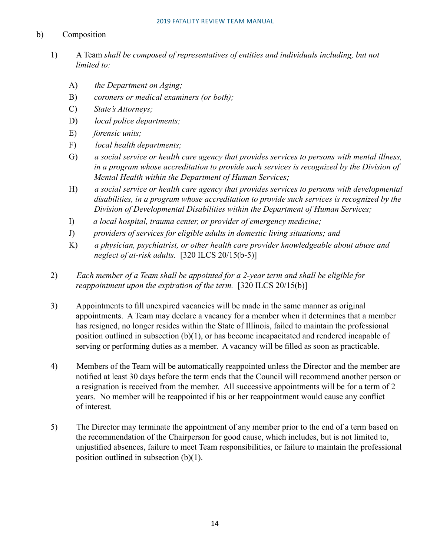### b) Composition

- 1) A Team *shall be composed of representatives of entities and individuals including, but not limited to:* 
	- A) *the Department on Aging;*
	- B) *coroners or medical examiners (or both);*
	- C) *State's Attorneys;*
	- D) *local police departments;*
	- E) *forensic units;*
	- F) *local health departments;*
	- G) *a social service or health care agency that provides services to persons with mental illness, in a program whose accreditation to provide such services is recognized by the Division of Mental Health within the Department of Human Services;*
	- H) *a social service or health care agency that provides services to persons with developmental disabilities, in a program whose accreditation to provide such services is recognized by the Division of Developmental Disabilities within the Department of Human Services;*
	- I) *a local hospital, trauma center, or provider of emergency medicine;*
	- J) *providers of services for eligible adults in domestic living situations; and*
	- K) *a physician, psychiatrist, or other health care provider knowledgeable about abuse and neglect of at-risk adults.* [320 ILCS 20/15(b-5)]
- 2) *Each member of a Team shall be appointed for a 2-year term and shall be eligible for reappointment upon the expiration of the term.* [320 ILCS 20/15(b)]
- 3) Appointments to fill unexpired vacancies will be made in the same manner as original appointments. A Team may declare a vacancy for a member when it determines that a member has resigned, no longer resides within the State of Illinois, failed to maintain the professional position outlined in subsection (b)(1), or has become incapacitated and rendered incapable of serving or performing duties as a member. A vacancy will be filled as soon as practicable.
- 4) Members of the Team will be automatically reappointed unless the Director and the member are notified at least 30 days before the term ends that the Council will recommend another person or a resignation is received from the member. All successive appointments will be for a term of 2 years. No member will be reappointed if his or her reappointment would cause any conflict of interest.
- 5) The Director may terminate the appointment of any member prior to the end of a term based on the recommendation of the Chairperson for good cause, which includes, but is not limited to, unjustified absences, failure to meet Team responsibilities, or failure to maintain the professional position outlined in subsection (b)(1).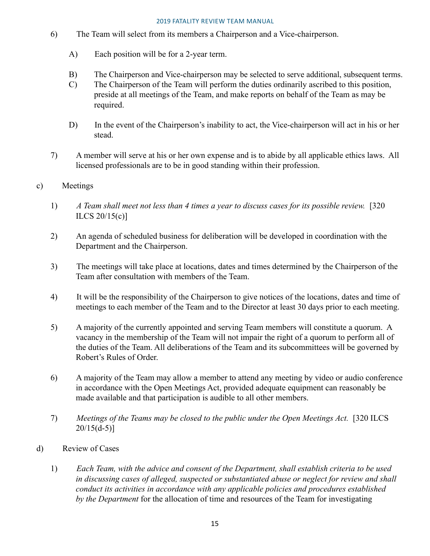- 6) The Team will select from its members a Chairperson and a Vice-chairperson.
	- A) Each position will be for a 2-year term.
	- B) The Chairperson and Vice-chairperson may be selected to serve additional, subsequent terms.
	- C) The Chairperson of the Team will perform the duties ordinarily ascribed to this position, preside at all meetings of the Team, and make reports on behalf of the Team as may be required.
	- D) In the event of the Chairperson's inability to act, the Vice-chairperson will act in his or her stead.
- 7) A member will serve at his or her own expense and is to abide by all applicable ethics laws. All licensed professionals are to be in good standing within their profession.
- c) Meetings
	- 1) *A Team shall meet not less than 4 times a year to discuss cases for its possible review.* [320 ILCS 20/15(c)]
	- 2) An agenda of scheduled business for deliberation will be developed in coordination with the Department and the Chairperson.
	- 3) The meetings will take place at locations, dates and times determined by the Chairperson of the Team after consultation with members of the Team.
	- 4) It will be the responsibility of the Chairperson to give notices of the locations, dates and time of meetings to each member of the Team and to the Director at least 30 days prior to each meeting.
	- 5) A majority of the currently appointed and serving Team members will constitute a quorum. A vacancy in the membership of the Team will not impair the right of a quorum to perform all of the duties of the Team. All deliberations of the Team and its subcommittees will be governed by Robert's Rules of Order.
	- 6) A majority of the Team may allow a member to attend any meeting by video or audio conference in accordance with the Open Meetings Act, provided adequate equipment can reasonably be made available and that participation is audible to all other members.
	- 7) *Meetings of the Teams may be closed to the public under the Open Meetings Act.* [320 ILCS  $20/15(d-5)$ ]
- d) Review of Cases
	- 1) *Each Team, with the advice and consent of the Department, shall establish criteria to be used in discussing cases of alleged, suspected or substantiated abuse or neglect for review and shall conduct its activities in accordance with any applicable policies and procedures established by the Department* for the allocation of time and resources of the Team for investigating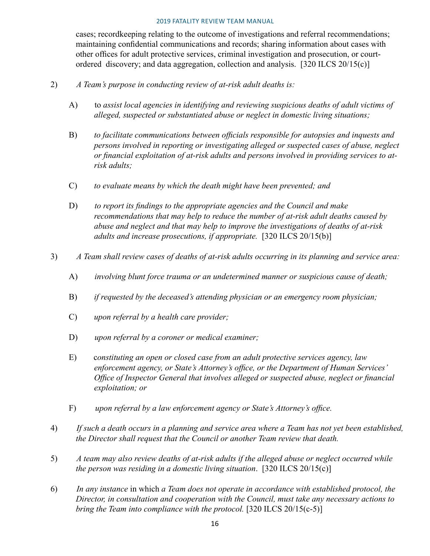cases; recordkeeping relating to the outcome of investigations and referral recommendations; maintaining confidential communications and records; sharing information about cases with other offices for adult protective services, criminal investigation and prosecution, or courtordered discovery; and data aggregation, collection and analysis. [320 ILCS 20/15(c)]

- 2) *A Team's purpose in conducting review of at-risk adult deaths is:*
	- A) to *assist local agencies in identifying and reviewing suspicious deaths of adult victims of alleged, suspected or substantiated abuse or neglect in domestic living situations;*
	- B) *to facilitate communications between officials responsible for autopsies and inquests and persons involved in reporting or investigating alleged or suspected cases of abuse, neglect or financial exploitation of at-risk adults and persons involved in providing services to atrisk adults;*
	- C) *to evaluate means by which the death might have been prevented; and*
	- D) *to report its findings to the appropriate agencies and the Council and make recommendations that may help to reduce the number of at-risk adult deaths caused by abuse and neglect and that may help to improve the investigations of deaths of at-risk adults and increase prosecutions, if appropriate.* [320 ILCS 20/15(b)]
- 3) *A Team shall review cases of deaths of at-risk adults occurring in its planning and service area:*
	- A) *involving blunt force trauma or an undetermined manner or suspicious cause of death;*
	- B) *if requested by the deceased's attending physician or an emergency room physician;*
	- C) *upon referral by a health care provider;*
	- D) *upon referral by a coroner or medical examiner;*
	- E) c*onstituting an open or closed case from an adult protective services agency, law enforcement agency, or State's Attorney's office, or the Department of Human Services' Office of Inspector General that involves alleged or suspected abuse, neglect or financial exploitation; or*
	- F) *upon referral by a law enforcement agency or State's Attorney's office.*
- 4) *If such a death occurs in a planning and service area where a Team has not yet been established, the Director shall request that the Council or another Team review that death.*
- 5) *A team may also review deaths of at-risk adults if the alleged abuse or neglect occurred while the person was residing in a domestic living situation*. [320 ILCS 20/15(c)]
- 6) *In any instance* in which *a Team does not operate in accordance with established protocol, the Director, in consultation and cooperation with the Council, must take any necessary actions to bring the Team into compliance with the protocol.* [320 ILCS 20/15(c-5)]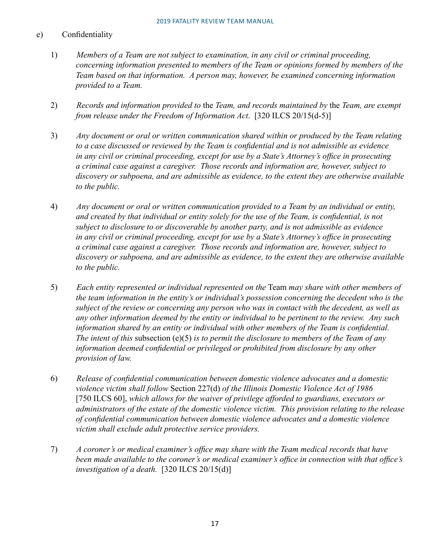### e) Confidentiality

- 1) *Members of a Team are not subject to examination, in any civil or criminal proceeding, concerning information presented to members of the Team or opinions formed by members of the Team based on that information. A person may, however, be examined concerning information provided to a Team.*
- 2) *Records and information provided to* the *Team, and records maintained by* the *Team, are exempt from release under the Freedom of Information Act*. [320 ILCS 20/15(d-5)]
- 3) *Any document or oral or written communication shared within or produced by the Team relating to a case discussed or reviewed by the Team is confidential and is not admissible as evidence in any civil or criminal proceeding, except for use by a State's Attorney's office in prosecuting a criminal case against a caregiver. Those records and information are, however, subject to discovery or subpoena, and are admissible as evidence, to the extent they are otherwise available to the public.*
- 4) *Any document or oral or written communication provided to a Team by an individual or entity, and created by that individual or entity solely for the use of the Team, is confidential, is not subject to disclosure to or discoverable by another party, and is not admissible as evidence in any civil or criminal proceeding, except for use by a State's Attorney's office in prosecuting a criminal case against a caregiver. Those records and information are, however, subject to discovery or subpoena, and are admissible as evidence, to the extent they are otherwise available to the public.*
- 5) *Each entity represented or individual represented on the* Team *may share with other members of the team information in the entity's or individual's possession concerning the decedent who is the subject of the review or concerning any person who was in contact with the decedent, as well as any other information deemed by the entity or individual to be pertinent to the review. Any such information shared by an entity or individual with other members of the Team is confidential. The intent of this* subsection (e)(5) *is to permit the disclosure to members of the Team of any information deemed confidential or privileged or prohibited from disclosure by any other provision of law.*
- 6) *Release of confidential communication between domestic violence advocates and a domestic violence victim shall follow* Section 227(d) *of the Illinois Domestic Violence Act of 1986*  [750 ILCS 60], which allows for the waiver of privilege afforded to guardians, executors or *administrators of the estate of the domestic violence victim. This provision relating to the release of confidential communication between domestic violence advocates and a domestic violence victim shall exclude adult protective service providers.*
- 7) *A coroner's or medical examiner's office may share with the Team medical records that have been made available to the coroner's or medical examiner's office in connection with that office's investigation of a death.* [320 ILCS 20/15(d)]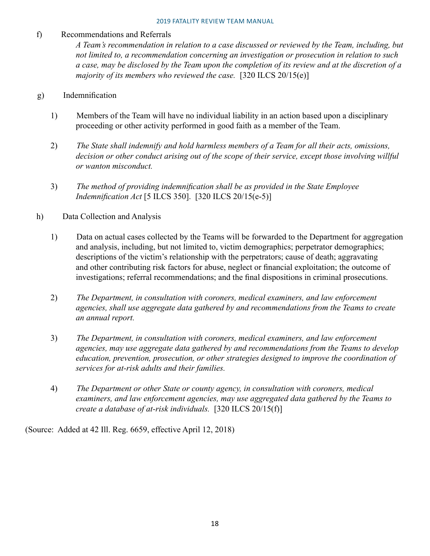### f) Recommendations and Referrals

*A Team's recommendation in relation to a case discussed or reviewed by the Team, including, but not limited to, a recommendation concerning an investigation or prosecution in relation to such a case, may be disclosed by the Team upon the completion of its review and at the discretion of a majority of its members who reviewed the case.* [320 ILCS 20/15(e)]

### g) Indemnification

- 1) Members of the Team will have no individual liability in an action based upon a disciplinary proceeding or other activity performed in good faith as a member of the Team.
- 2) *The State shall indemnify and hold harmless members of a Team for all their acts, omissions,*  decision or other conduct arising out of the scope of their service, except those involving willful *or wanton misconduct.*
- 3) *The method of providing indemnification shall be as provided in the State Employee Indemnification Act* [5 ILCS 350]. [320 ILCS 20/15(e-5)]
- h) Data Collection and Analysis
	- 1) Data on actual cases collected by the Teams will be forwarded to the Department for aggregation and analysis, including, but not limited to, victim demographics; perpetrator demographics; descriptions of the victim's relationship with the perpetrators; cause of death; aggravating and other contributing risk factors for abuse, neglect or financial exploitation; the outcome of investigations; referral recommendations; and the final dispositions in criminal prosecutions.
	- 2) *The Department, in consultation with coroners, medical examiners, and law enforcement agencies, shall use aggregate data gathered by and recommendations from the Teams to create an annual report.*
	- 3) *The Department, in consultation with coroners, medical examiners, and law enforcement agencies, may use aggregate data gathered by and recommendations from the Teams to develop education, prevention, prosecution, or other strategies designed to improve the coordination of services for at-risk adults and their families.*
	- 4) *The Department or other State or county agency, in consultation with coroners, medical examiners, and law enforcement agencies, may use aggregated data gathered by the Teams to create a database of at-risk individuals.* [320 ILCS 20/15(f)]

(Source: Added at 42 Ill. Reg. 6659, effective April 12, 2018)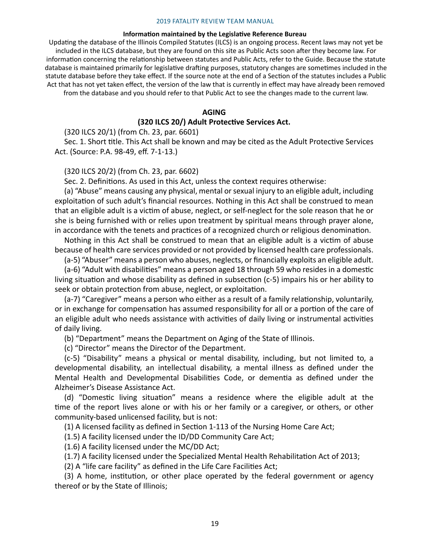#### **Information maintained by the Legislative Reference Bureau**

Updating the database of the Illinois Compiled Statutes (ILCS) is an ongoing process. Recent laws may not yet be included in the ILCS database, but they are found on this site as Public Acts soon after they become law. For information concerning the relationship between statutes and Public Acts, refer to the Guide. Because the statute database is maintained primarily for legislative drafting purposes, statutory changes are sometimes included in the statute database before they take effect. If the source note at the end of a Section of the statutes includes a Public Act that has not yet taken effect, the version of the law that is currently in effect may have already been removed from the database and you should refer to that Public Act to see the changes made to the current law.

#### **AGING**

#### **(320 ILCS 20/) Adult Protective Services Act.**

(320 ILCS 20/1) (from Ch. 23, par. 6601)

Sec. 1. Short title. This Act shall be known and may be cited as the Adult Protective Services Act. (Source: P.A. 98-49, eff. 7-1-13.)

(320 ILCS 20/2) (from Ch. 23, par. 6602)

Sec. 2. Definitions. As used in this Act, unless the context requires otherwise:

(a) "Abuse" means causing any physical, mental or sexual injury to an eligible adult, including exploitation of such adult's financial resources. Nothing in this Act shall be construed to mean that an eligible adult is a victim of abuse, neglect, or self-neglect for the sole reason that he or she is being furnished with or relies upon treatment by spiritual means through prayer alone, in accordance with the tenets and practices of a recognized church or religious denomination.

Nothing in this Act shall be construed to mean that an eligible adult is a victim of abuse because of health care services provided or not provided by licensed health care professionals.

(a-5) "Abuser" means a person who abuses, neglects, or financially exploits an eligible adult.

(a-6) "Adult with disabilities" means a person aged 18 through 59 who resides in a domestic living situation and whose disability as defined in subsection (c-5) impairs his or her ability to seek or obtain protection from abuse, neglect, or exploitation.

(a-7) "Caregiver" means a person who either as a result of a family relationship, voluntarily, or in exchange for compensation has assumed responsibility for all or a portion of the care of an eligible adult who needs assistance with activities of daily living or instrumental activities of daily living.

(b) "Department" means the Department on Aging of the State of Illinois.

(c) "Director" means the Director of the Department.

(c-5) "Disability" means a physical or mental disability, including, but not limited to, a developmental disability, an intellectual disability, a mental illness as defined under the Mental Health and Developmental Disabilities Code, or dementia as defined under the Alzheimer's Disease Assistance Act.

(d) "Domestic living situation" means a residence where the eligible adult at the time of the report lives alone or with his or her family or a caregiver, or others, or other community-based unlicensed facility, but is not:

(1) A licensed facility as defined in Section 1-113 of the Nursing Home Care Act;

(1.5) A facility licensed under the ID/DD Community Care Act;

(1.6) A facility licensed under the MC/DD Act;

(1.7) A facility licensed under the Specialized Mental Health Rehabilitation Act of 2013;

(2) A "life care facility" as defined in the Life Care Facilities Act;

(3) A home, institution, or other place operated by the federal government or agency thereof or by the State of Illinois;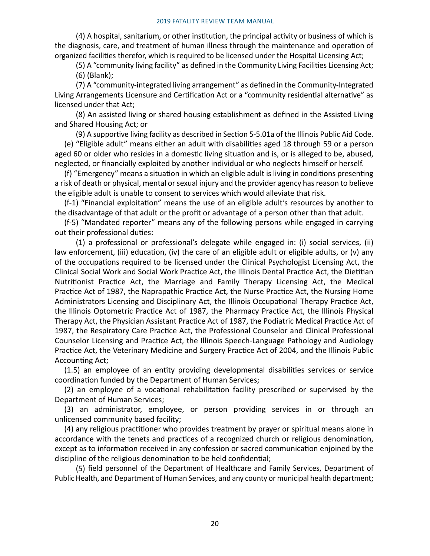(4) A hospital, sanitarium, or other institution, the principal activity or business of which is the diagnosis, care, and treatment of human illness through the maintenance and operation of organized facilities therefor, which is required to be licensed under the Hospital Licensing Act;

(5) A "community living facility" as defined in the Community Living Facilities Licensing Act; (6) (Blank);

(7) A "community-integrated living arrangement" as defined in the Community-Integrated Living Arrangements Licensure and Certification Act or a "community residential alternative" as licensed under that Act;

(8) An assisted living or shared housing establishment as defined in the Assisted Living and Shared Housing Act; or

(9) A supportive living facility as described in Section 5-5.01a of the Illinois Public Aid Code.

(e) "Eligible adult" means either an adult with disabilities aged 18 through 59 or a person aged 60 or older who resides in a domestic living situation and is, or is alleged to be, abused, neglected, or financially exploited by another individual or who neglects himself or herself.

(f) "Emergency" means a situation in which an eligible adult is living in conditions presenting a risk of death or physical, mental or sexual injury and the provider agency has reason to believe the eligible adult is unable to consent to services which would alleviate that risk.

(f-1) "Financial exploitation" means the use of an eligible adult's resources by another to the disadvantage of that adult or the profit or advantage of a person other than that adult.

(f-5) "Mandated reporter" means any of the following persons while engaged in carrying out their professional duties:

(1) a professional or professional's delegate while engaged in: (i) social services, (ii) law enforcement, (iii) education, (iv) the care of an eligible adult or eligible adults, or (v) any of the occupations required to be licensed under the Clinical Psychologist Licensing Act, the Clinical Social Work and Social Work Practice Act, the Illinois Dental Practice Act, the Dietitian Nutritionist Practice Act, the Marriage and Family Therapy Licensing Act, the Medical Practice Act of 1987, the Naprapathic Practice Act, the Nurse Practice Act, the Nursing Home Administrators Licensing and Disciplinary Act, the Illinois Occupational Therapy Practice Act, the Illinois Optometric Practice Act of 1987, the Pharmacy Practice Act, the Illinois Physical Therapy Act, the Physician Assistant Practice Act of 1987, the Podiatric Medical Practice Act of 1987, the Respiratory Care Practice Act, the Professional Counselor and Clinical Professional Counselor Licensing and Practice Act, the Illinois Speech-Language Pathology and Audiology Practice Act, the Veterinary Medicine and Surgery Practice Act of 2004, and the Illinois Public Accounting Act;

(1.5) an employee of an entity providing developmental disabilities services or service coordination funded by the Department of Human Services;

(2) an employee of a vocational rehabilitation facility prescribed or supervised by the Department of Human Services;

(3) an administrator, employee, or person providing services in or through an unlicensed community based facility;

(4) any religious practitioner who provides treatment by prayer or spiritual means alone in accordance with the tenets and practices of a recognized church or religious denomination, except as to information received in any confession or sacred communication enjoined by the discipline of the religious denomination to be held confidential;

(5) field personnel of the Department of Healthcare and Family Services, Department of Public Health, and Department of Human Services, and any county or municipal health department;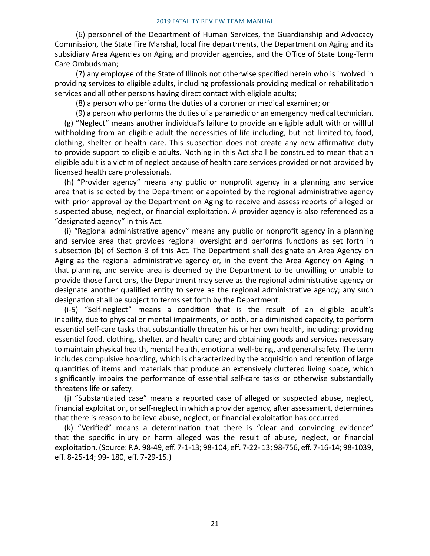(6) personnel of the Department of Human Services, the Guardianship and Advocacy Commission, the State Fire Marshal, local fire departments, the Department on Aging and its subsidiary Area Agencies on Aging and provider agencies, and the Office of State Long-Term Care Ombudsman;

(7) any employee of the State of Illinois not otherwise specified herein who is involved in providing services to eligible adults, including professionals providing medical or rehabilitation services and all other persons having direct contact with eligible adults;

(8) a person who performs the duties of a coroner or medical examiner; or

(9) a person who performs the duties of a paramedic or an emergency medical technician. (g) "Neglect" means another individual's failure to provide an eligible adult with or willful withholding from an eligible adult the necessities of life including, but not limited to, food, clothing, shelter or health care. This subsection does not create any new affirmative duty to provide support to eligible adults. Nothing in this Act shall be construed to mean that an eligible adult is a victim of neglect because of health care services provided or not provided by licensed health care professionals.

(h) "Provider agency" means any public or nonprofit agency in a planning and service area that is selected by the Department or appointed by the regional administrative agency with prior approval by the Department on Aging to receive and assess reports of alleged or suspected abuse, neglect, or financial exploitation. A provider agency is also referenced as a "designated agency" in this Act.

(i) "Regional administrative agency" means any public or nonprofit agency in a planning and service area that provides regional oversight and performs functions as set forth in subsection (b) of Section 3 of this Act. The Department shall designate an Area Agency on Aging as the regional administrative agency or, in the event the Area Agency on Aging in that planning and service area is deemed by the Department to be unwilling or unable to provide those functions, the Department may serve as the regional administrative agency or designate another qualified entity to serve as the regional administrative agency; any such designation shall be subject to terms set forth by the Department.

(i-5) "Self-neglect" means a condition that is the result of an eligible adult's inability, due to physical or mental impairments, or both, or a diminished capacity, to perform essential self-care tasks that substantially threaten his or her own health, including: providing essential food, clothing, shelter, and health care; and obtaining goods and services necessary to maintain physical health, mental health, emotional well-being, and general safety. The term includes compulsive hoarding, which is characterized by the acquisition and retention of large quantities of items and materials that produce an extensively cluttered living space, which significantly impairs the performance of essential self-care tasks or otherwise substantially threatens life or safety.

(j) "Substantiated case" means a reported case of alleged or suspected abuse, neglect, financial exploitation, or self-neglect in which a provider agency, after assessment, determines that there is reason to believe abuse, neglect, or financial exploitation has occurred.

(k) "Verified" means a determination that there is "clear and convincing evidence" that the specific injury or harm alleged was the result of abuse, neglect, or financial exploitation. (Source: P.A. 98-49, eff. 7-1-13; 98-104, eff. 7-22- 13; 98-756, eff. 7-16-14; 98-1039, eff. 8-25-14; 99- 180, eff. 7-29-15.)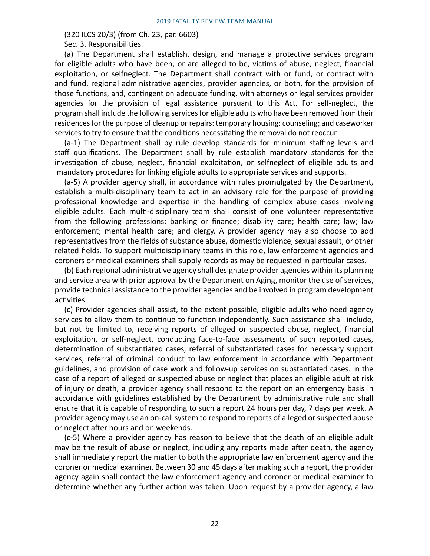(320 ILCS 20/3) (from Ch. 23, par. 6603)

Sec. 3. Responsibilities.

(a) The Department shall establish, design, and manage a protective services program for eligible adults who have been, or are alleged to be, victims of abuse, neglect, financial exploitation, or selfneglect. The Department shall contract with or fund, or contract with and fund, regional administrative agencies, provider agencies, or both, for the provision of those functions, and, contingent on adequate funding, with attorneys or legal services provider agencies for the provision of legal assistance pursuant to this Act. For self-neglect, the program shall include the following services for eligible adults who have been removed from their residences for the purpose of cleanup or repairs: temporary housing; counseling; and caseworker services to try to ensure that the conditions necessitating the removal do not reoccur.

(a-1) The Department shall by rule develop standards for minimum staffing levels and staff qualifications. The Department shall by rule establish mandatory standards for the investigation of abuse, neglect, financial exploitation, or selfneglect of eligible adults and mandatory procedures for linking eligible adults to appropriate services and supports.

(a-5) A provider agency shall, in accordance with rules promulgated by the Department, establish a multi-disciplinary team to act in an advisory role for the purpose of providing professional knowledge and expertise in the handling of complex abuse cases involving eligible adults. Each multi-disciplinary team shall consist of one volunteer representative from the following professions: banking or finance; disability care; health care; law; law enforcement; mental health care; and clergy. A provider agency may also choose to add representatives from the fields of substance abuse, domestic violence, sexual assault, or other related fields. To support multidisciplinary teams in this role, law enforcement agencies and coroners or medical examiners shall supply records as may be requested in particular cases.

(b) Each regional administrative agency shall designate provider agencies within its planning and service area with prior approval by the Department on Aging, monitor the use of services, provide technical assistance to the provider agencies and be involved in program development activities.

(c) Provider agencies shall assist, to the extent possible, eligible adults who need agency services to allow them to continue to function independently. Such assistance shall include, but not be limited to, receiving reports of alleged or suspected abuse, neglect, financial exploitation, or self-neglect, conducting face-to-face assessments of such reported cases, determination of substantiated cases, referral of substantiated cases for necessary support services, referral of criminal conduct to law enforcement in accordance with Department guidelines, and provision of case work and follow-up services on substantiated cases. In the case of a report of alleged or suspected abuse or neglect that places an eligible adult at risk of injury or death, a provider agency shall respond to the report on an emergency basis in accordance with guidelines established by the Department by administrative rule and shall ensure that it is capable of responding to such a report 24 hours per day, 7 days per week. A provider agency may use an on-call system to respond to reports of alleged or suspected abuse or neglect after hours and on weekends.

(c-5) Where a provider agency has reason to believe that the death of an eligible adult may be the result of abuse or neglect, including any reports made after death, the agency shall immediately report the matter to both the appropriate law enforcement agency and the coroner or medical examiner. Between 30 and 45 days after making such a report, the provider agency again shall contact the law enforcement agency and coroner or medical examiner to determine whether any further action was taken. Upon request by a provider agency, a law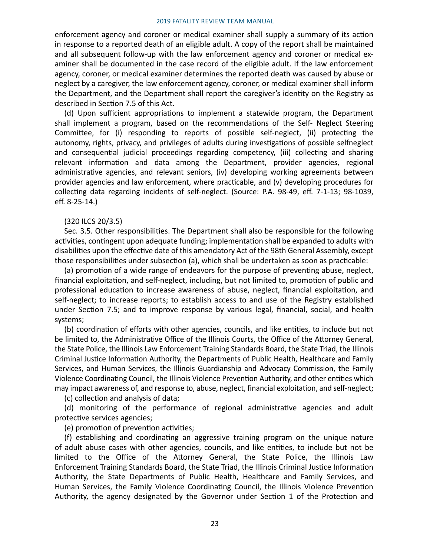enforcement agency and coroner or medical examiner shall supply a summary of its action in response to a reported death of an eligible adult. A copy of the report shall be maintained and all subsequent follow-up with the law enforcement agency and coroner or medical examiner shall be documented in the case record of the eligible adult. If the law enforcement agency, coroner, or medical examiner determines the reported death was caused by abuse or neglect by a caregiver, the law enforcement agency, coroner, or medical examiner shall inform the Department, and the Department shall report the caregiver's identity on the Registry as described in Section 7.5 of this Act.

(d) Upon sufficient appropriations to implement a statewide program, the Department shall implement a program, based on the recommendations of the Self- Neglect Steering Committee, for (i) responding to reports of possible self-neglect, (ii) protecting the autonomy, rights, privacy, and privileges of adults during investigations of possible selfneglect and consequential judicial proceedings regarding competency, (iii) collecting and sharing relevant information and data among the Department, provider agencies, regional administrative agencies, and relevant seniors, (iv) developing working agreements between provider agencies and law enforcement, where practicable, and (v) developing procedures for collecting data regarding incidents of self-neglect. (Source: P.A. 98-49, eff. 7-1-13; 98-1039, eff. 8-25-14.)

### (320 ILCS 20/3.5)

Sec. 3.5. Other responsibilities. The Department shall also be responsible for the following activities, contingent upon adequate funding; implementation shall be expanded to adults with disabilities upon the effective date of this amendatory Act of the 98th General Assembly, except those responsibilities under subsection (a), which shall be undertaken as soon as practicable:

(a) promotion of a wide range of endeavors for the purpose of preventing abuse, neglect, financial exploitation, and self-neglect, including, but not limited to, promotion of public and professional education to increase awareness of abuse, neglect, financial exploitation, and self-neglect; to increase reports; to establish access to and use of the Registry established under Section 7.5; and to improve response by various legal, financial, social, and health systems;

(b) coordination of efforts with other agencies, councils, and like entities, to include but not be limited to, the Administrative Office of the Illinois Courts, the Office of the Attorney General, the State Police, the Illinois Law Enforcement Training Standards Board, the State Triad, the Illinois Criminal Justice Information Authority, the Departments of Public Health, Healthcare and Family Services, and Human Services, the Illinois Guardianship and Advocacy Commission, the Family Violence Coordinating Council, the Illinois Violence Prevention Authority, and other entities which may impact awareness of, and response to, abuse, neglect, financial exploitation, and self-neglect;

(c) collection and analysis of data;

(d) monitoring of the performance of regional administrative agencies and adult protective services agencies;

(e) promotion of prevention activities;

(f) establishing and coordinating an aggressive training program on the unique nature of adult abuse cases with other agencies, councils, and like entities, to include but not be limited to the Office of the Attorney General, the State Police, the Illinois Law Enforcement Training Standards Board, the State Triad, the Illinois Criminal Justice Information Authority, the State Departments of Public Health, Healthcare and Family Services, and Human Services, the Family Violence Coordinating Council, the Illinois Violence Prevention Authority, the agency designated by the Governor under Section 1 of the Protection and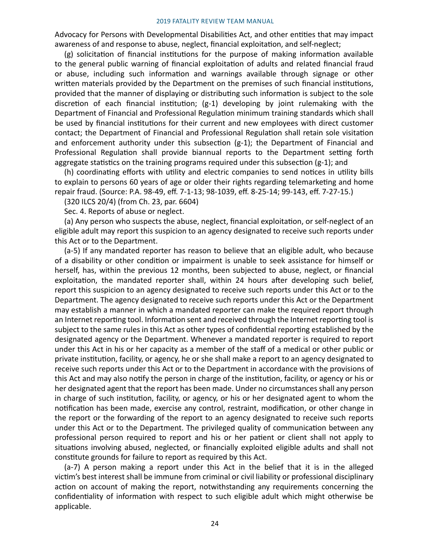Advocacy for Persons with Developmental Disabilities Act, and other entities that may impact awareness of and response to abuse, neglect, financial exploitation, and self-neglect;

(g) solicitation of financial institutions for the purpose of making information available to the general public warning of financial exploitation of adults and related financial fraud or abuse, including such information and warnings available through signage or other written materials provided by the Department on the premises of such financial institutions, provided that the manner of displaying or distributing such information is subject to the sole discretion of each financial institution;  $(g-1)$  developing by joint rulemaking with the Department of Financial and Professional Regulation minimum training standards which shall be used by financial institutions for their current and new employees with direct customer contact; the Department of Financial and Professional Regulation shall retain sole visitation and enforcement authority under this subsection (g-1); the Department of Financial and Professional Regulation shall provide biannual reports to the Department setting forth aggregate statistics on the training programs required under this subsection (g-1); and

(h) coordinating efforts with utility and electric companies to send notices in utility bills to explain to persons 60 years of age or older their rights regarding telemarketing and home repair fraud. (Source: P.A. 98-49, eff. 7-1-13; 98-1039, eff. 8-25-14; 99-143, eff. 7-27-15.)

(320 ILCS 20/4) (from Ch. 23, par. 6604)

Sec. 4. Reports of abuse or neglect.

(a) Any person who suspects the abuse, neglect, financial exploitation, or self-neglect of an eligible adult may report this suspicion to an agency designated to receive such reports under this Act or to the Department.

(a-5) If any mandated reporter has reason to believe that an eligible adult, who because of a disability or other condition or impairment is unable to seek assistance for himself or herself, has, within the previous 12 months, been subjected to abuse, neglect, or financial exploitation, the mandated reporter shall, within 24 hours after developing such belief, report this suspicion to an agency designated to receive such reports under this Act or to the Department. The agency designated to receive such reports under this Act or the Department may establish a manner in which a mandated reporter can make the required report through an Internet reporting tool. Information sent and received through the Internet reporting tool is subject to the same rules in this Act as other types of confidential reporting established by the designated agency or the Department. Whenever a mandated reporter is required to report under this Act in his or her capacity as a member of the staff of a medical or other public or private institution, facility, or agency, he or she shall make a report to an agency designated to receive such reports under this Act or to the Department in accordance with the provisions of this Act and may also notify the person in charge of the institution, facility, or agency or his or her designated agent that the report has been made. Under no circumstances shall any person in charge of such institution, facility, or agency, or his or her designated agent to whom the notification has been made, exercise any control, restraint, modification, or other change in the report or the forwarding of the report to an agency designated to receive such reports under this Act or to the Department. The privileged quality of communication between any professional person required to report and his or her patient or client shall not apply to situations involving abused, neglected, or financially exploited eligible adults and shall not constitute grounds for failure to report as required by this Act.

(a-7) A person making a report under this Act in the belief that it is in the alleged victim's best interest shall be immune from criminal or civil liability or professional disciplinary action on account of making the report, notwithstanding any requirements concerning the confidentiality of information with respect to such eligible adult which might otherwise be applicable.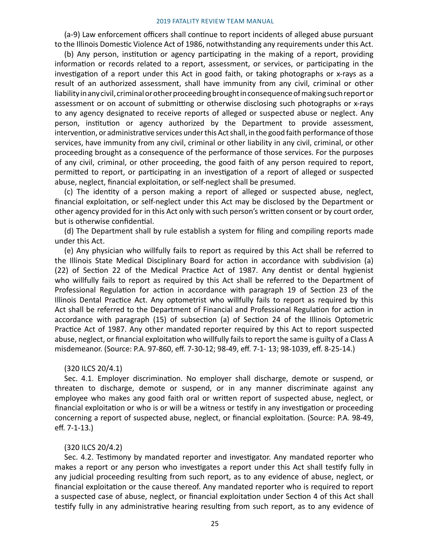(a-9) Law enforcement officers shall continue to report incidents of alleged abuse pursuant to the Illinois Domestic Violence Act of 1986, notwithstanding any requirements under this Act.

(b) Any person, institution or agency participating in the making of a report, providing information or records related to a report, assessment, or services, or participating in the investigation of a report under this Act in good faith, or taking photographs or x-rays as a result of an authorized assessment, shall have immunity from any civil, criminal or other liability in any civil, criminal or other proceeding brought in consequence of making such report or assessment or on account of submitting or otherwise disclosing such photographs or x-rays to any agency designated to receive reports of alleged or suspected abuse or neglect. Any person, institution or agency authorized by the Department to provide assessment, intervention, or administrative services under this Act shall, in the good faith performance of those services, have immunity from any civil, criminal or other liability in any civil, criminal, or other proceeding brought as a consequence of the performance of those services. For the purposes of any civil, criminal, or other proceeding, the good faith of any person required to report, permitted to report, or participating in an investigation of a report of alleged or suspected abuse, neglect, financial exploitation, or self-neglect shall be presumed.

(c) The identity of a person making a report of alleged or suspected abuse, neglect, financial exploitation, or self-neglect under this Act may be disclosed by the Department or other agency provided for in this Act only with such person's written consent or by court order, but is otherwise confidential.

(d) The Department shall by rule establish a system for filing and compiling reports made under this Act.

(e) Any physician who willfully fails to report as required by this Act shall be referred to the Illinois State Medical Disciplinary Board for action in accordance with subdivision (a) (22) of Section 22 of the Medical Practice Act of 1987. Any dentist or dental hygienist who willfully fails to report as required by this Act shall be referred to the Department of Professional Regulation for action in accordance with paragraph 19 of Section 23 of the Illinois Dental Practice Act. Any optometrist who willfully fails to report as required by this Act shall be referred to the Department of Financial and Professional Regulation for action in accordance with paragraph (15) of subsection (a) of Section 24 of the Illinois Optometric Practice Act of 1987. Any other mandated reporter required by this Act to report suspected abuse, neglect, or financial exploitation who willfully fails to report the same is guilty of a Class A misdemeanor. (Source: P.A. 97-860, eff. 7-30-12; 98-49, eff. 7-1- 13; 98-1039, eff. 8-25-14.)

#### (320 ILCS 20/4.1)

Sec. 4.1. Employer discrimination. No employer shall discharge, demote or suspend, or threaten to discharge, demote or suspend, or in any manner discriminate against any employee who makes any good faith oral or written report of suspected abuse, neglect, or financial exploitation or who is or will be a witness or testify in any investigation or proceeding concerning a report of suspected abuse, neglect, or financial exploitation. (Source: P.A. 98-49, eff. 7-1-13.)

### (320 ILCS 20/4.2)

Sec. 4.2. Testimony by mandated reporter and investigator. Any mandated reporter who makes a report or any person who investigates a report under this Act shall testify fully in any judicial proceeding resulting from such report, as to any evidence of abuse, neglect, or financial exploitation or the cause thereof. Any mandated reporter who is required to report a suspected case of abuse, neglect, or financial exploitation under Section 4 of this Act shall testify fully in any administrative hearing resulting from such report, as to any evidence of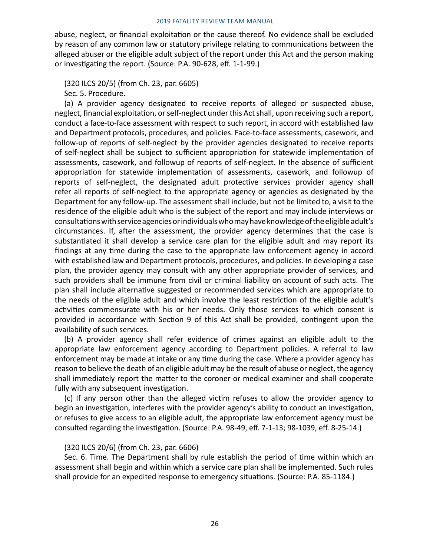abuse, neglect, or financial exploitation or the cause thereof. No evidence shall be excluded by reason of any common law or statutory privilege relating to communications between the alleged abuser or the eligible adult subject of the report under this Act and the person making or investigating the report. (Source: P.A. 90-628, eff. 1-1-99.)

(320 ILCS 20/5) (from Ch. 23, par. 6605)

Sec. 5. Procedure.

(a) A provider agency designated to receive reports of alleged or suspected abuse, neglect, financial exploitation, or self-neglect under this Act shall, upon receiving such a report, conduct a face-to-face assessment with respect to such report, in accord with established law and Department protocols, procedures, and policies. Face-to-face assessments, casework, and follow-up of reports of self-neglect by the provider agencies designated to receive reports of self-neglect shall be subject to sufficient appropriation for statewide implementation of assessments, casework, and followup of reports of self-neglect. In the absence of sufficient appropriation for statewide implementation of assessments, casework, and followup of reports of self-neglect, the designated adult protective services provider agency shall refer all reports of self-neglect to the appropriate agency or agencies as designated by the Department for any follow-up. The assessment shall include, but not be limited to, a visit to the residence of the eligible adult who is the subject of the report and may include interviews or consultations with service agencies or individuals who may have knowledge of the eligible adult's circumstances. If, after the assessment, the provider agency determines that the case is substantiated it shall develop a service care plan for the eligible adult and may report its findings at any time during the case to the appropriate law enforcement agency in accord with established law and Department protocols, procedures, and policies. In developing a case plan, the provider agency may consult with any other appropriate provider of services, and such providers shall be immune from civil or criminal liability on account of such acts. The plan shall include alternative suggested or recommended services which are appropriate to the needs of the eligible adult and which involve the least restriction of the eligible adult's activities commensurate with his or her needs. Only those services to which consent is provided in accordance with Section 9 of this Act shall be provided, contingent upon the availability of such services.

(b) A provider agency shall refer evidence of crimes against an eligible adult to the appropriate law enforcement agency according to Department policies. A referral to law enforcement may be made at intake or any time during the case. Where a provider agency has reason to believe the death of an eligible adult may be the result of abuse or neglect, the agency shall immediately report the matter to the coroner or medical examiner and shall cooperate fully with any subsequent investigation.

(c) If any person other than the alleged victim refuses to allow the provider agency to begin an investigation, interferes with the provider agency's ability to conduct an investigation, or refuses to give access to an eligible adult, the appropriate law enforcement agency must be consulted regarding the investigation. (Source: P.A. 98-49, eff. 7-1-13; 98-1039, eff. 8-25-14.)

### (320 ILCS 20/6) (from Ch. 23, par. 6606)

Sec. 6. Time. The Department shall by rule establish the period of time within which an assessment shall begin and within which a service care plan shall be implemented. Such rules shall provide for an expedited response to emergency situations. (Source: P.A. 85-1184.)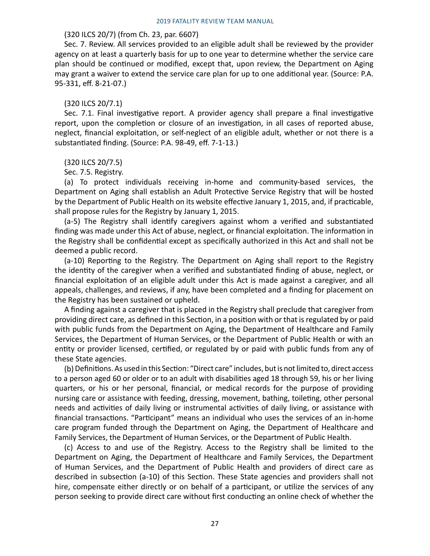#### (320 ILCS 20/7) (from Ch. 23, par. 6607)

Sec. 7. Review. All services provided to an eligible adult shall be reviewed by the provider agency on at least a quarterly basis for up to one year to determine whether the service care plan should be continued or modified, except that, upon review, the Department on Aging may grant a waiver to extend the service care plan for up to one additional year. (Source: P.A. 95-331, eff. 8-21-07.)

#### (320 ILCS 20/7.1)

Sec. 7.1. Final investigative report. A provider agency shall prepare a final investigative report, upon the completion or closure of an investigation, in all cases of reported abuse, neglect, financial exploitation, or self-neglect of an eligible adult, whether or not there is a substantiated finding. (Source: P.A. 98-49, eff. 7-1-13.)

#### (320 ILCS 20/7.5)

### Sec. 7.5. Registry.

(a) To protect individuals receiving in-home and community-based services, the Department on Aging shall establish an Adult Protective Service Registry that will be hosted by the Department of Public Health on its website effective January 1, 2015, and, if practicable, shall propose rules for the Registry by January 1, 2015.

(a-5) The Registry shall identify caregivers against whom a verified and substantiated finding was made under this Act of abuse, neglect, or financial exploitation. The information in the Registry shall be confidential except as specifically authorized in this Act and shall not be deemed a public record.

(a-10) Reporting to the Registry. The Department on Aging shall report to the Registry the identity of the caregiver when a verified and substantiated finding of abuse, neglect, or financial exploitation of an eligible adult under this Act is made against a caregiver, and all appeals, challenges, and reviews, if any, have been completed and a finding for placement on the Registry has been sustained or upheld.

A finding against a caregiver that is placed in the Registry shall preclude that caregiver from providing direct care, as defined in this Section, in a position with or that is regulated by or paid with public funds from the Department on Aging, the Department of Healthcare and Family Services, the Department of Human Services, or the Department of Public Health or with an entity or provider licensed, certified, or regulated by or paid with public funds from any of these State agencies.

(b) Definitions. As used in this Section: "Direct care" includes, but is not limited to, direct access to a person aged 60 or older or to an adult with disabilities aged 18 through 59, his or her living quarters, or his or her personal, financial, or medical records for the purpose of providing nursing care or assistance with feeding, dressing, movement, bathing, toileting, other personal needs and activities of daily living or instrumental activities of daily living, or assistance with financial transactions. "Participant" means an individual who uses the services of an in-home care program funded through the Department on Aging, the Department of Healthcare and Family Services, the Department of Human Services, or the Department of Public Health.

(c) Access to and use of the Registry. Access to the Registry shall be limited to the Department on Aging, the Department of Healthcare and Family Services, the Department of Human Services, and the Department of Public Health and providers of direct care as described in subsection (a-10) of this Section. These State agencies and providers shall not hire, compensate either directly or on behalf of a participant, or utilize the services of any person seeking to provide direct care without first conducting an online check of whether the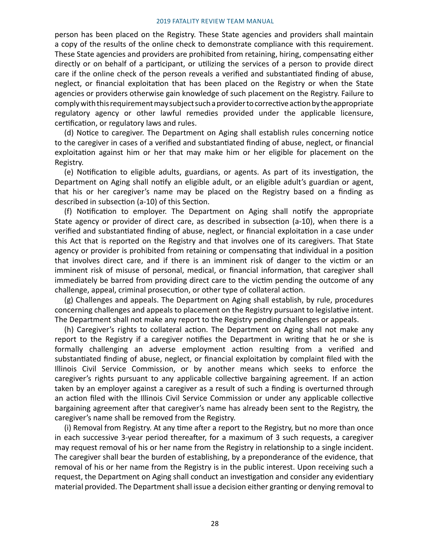person has been placed on the Registry. These State agencies and providers shall maintain a copy of the results of the online check to demonstrate compliance with this requirement. These State agencies and providers are prohibited from retaining, hiring, compensating either directly or on behalf of a participant, or utilizing the services of a person to provide direct care if the online check of the person reveals a verified and substantiated finding of abuse, neglect, or financial exploitation that has been placed on the Registry or when the State agencies or providers otherwise gain knowledge of such placement on the Registry. Failure to comply with this requirement may subject such a provider to corrective action by the appropriate regulatory agency or other lawful remedies provided under the applicable licensure, certification, or regulatory laws and rules.

(d) Notice to caregiver. The Department on Aging shall establish rules concerning notice to the caregiver in cases of a verified and substantiated finding of abuse, neglect, or financial exploitation against him or her that may make him or her eligible for placement on the Registry.

(e) Notification to eligible adults, guardians, or agents. As part of its investigation, the Department on Aging shall notify an eligible adult, or an eligible adult's guardian or agent, that his or her caregiver's name may be placed on the Registry based on a finding as described in subsection (a-10) of this Section.

(f) Notification to employer. The Department on Aging shall notify the appropriate State agency or provider of direct care, as described in subsection (a-10), when there is a verified and substantiated finding of abuse, neglect, or financial exploitation in a case under this Act that is reported on the Registry and that involves one of its caregivers. That State agency or provider is prohibited from retaining or compensating that individual in a position that involves direct care, and if there is an imminent risk of danger to the victim or an imminent risk of misuse of personal, medical, or financial information, that caregiver shall immediately be barred from providing direct care to the victim pending the outcome of any challenge, appeal, criminal prosecution, or other type of collateral action.

(g) Challenges and appeals. The Department on Aging shall establish, by rule, procedures concerning challenges and appeals to placement on the Registry pursuant to legislative intent. The Department shall not make any report to the Registry pending challenges or appeals.

(h) Caregiver's rights to collateral action. The Department on Aging shall not make any report to the Registry if a caregiver notifies the Department in writing that he or she is formally challenging an adverse employment action resulting from a verified and substantiated finding of abuse, neglect, or financial exploitation by complaint filed with the Illinois Civil Service Commission, or by another means which seeks to enforce the caregiver's rights pursuant to any applicable collective bargaining agreement. If an action taken by an employer against a caregiver as a result of such a finding is overturned through an action filed with the Illinois Civil Service Commission or under any applicable collective bargaining agreement after that caregiver's name has already been sent to the Registry, the caregiver's name shall be removed from the Registry.

(i) Removal from Registry. At any time after a report to the Registry, but no more than once in each successive 3-year period thereafter, for a maximum of 3 such requests, a caregiver may request removal of his or her name from the Registry in relationship to a single incident. The caregiver shall bear the burden of establishing, by a preponderance of the evidence, that removal of his or her name from the Registry is in the public interest. Upon receiving such a request, the Department on Aging shall conduct an investigation and consider any evidentiary material provided. The Department shall issue a decision either granting or denying removal to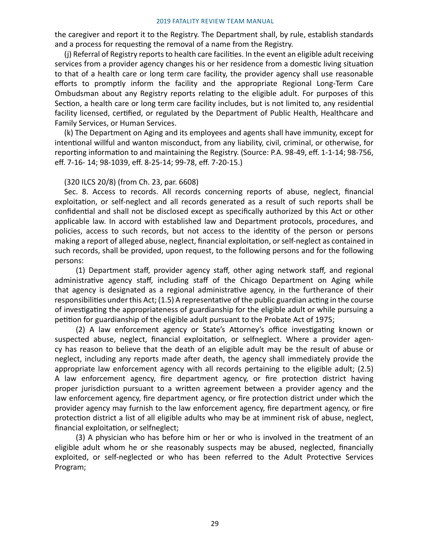the caregiver and report it to the Registry. The Department shall, by rule, establish standards and a process for requesting the removal of a name from the Registry.

(j) Referral of Registry reports to health care facilities. In the event an eligible adult receiving services from a provider agency changes his or her residence from a domestic living situation to that of a health care or long term care facility, the provider agency shall use reasonable efforts to promptly inform the facility and the appropriate Regional Long-Term Care Ombudsman about any Registry reports relating to the eligible adult. For purposes of this Section, a health care or long term care facility includes, but is not limited to, any residential facility licensed, certified, or regulated by the Department of Public Health, Healthcare and Family Services, or Human Services.

(k) The Department on Aging and its employees and agents shall have immunity, except for intentional willful and wanton misconduct, from any liability, civil, criminal, or otherwise, for reporting information to and maintaining the Registry. (Source: P.A. 98-49, eff. 1-1-14; 98-756, eff. 7-16- 14; 98-1039, eff. 8-25-14; 99-78, eff. 7-20-15.)

#### (320 ILCS 20/8) (from Ch. 23, par. 6608)

Sec. 8. Access to records. All records concerning reports of abuse, neglect, financial exploitation, or self-neglect and all records generated as a result of such reports shall be confidential and shall not be disclosed except as specifically authorized by this Act or other applicable law. In accord with established law and Department protocols, procedures, and policies, access to such records, but not access to the identity of the person or persons making a report of alleged abuse, neglect, financial exploitation, or self-neglect as contained in such records, shall be provided, upon request, to the following persons and for the following persons:

(1) Department staff, provider agency staff, other aging network staff, and regional administrative agency staff, including staff of the Chicago Department on Aging while that agency is designated as a regional administrative agency, in the furtherance of their responsibilities under this Act; (1.5) A representative of the public guardian acting in the course of investigating the appropriateness of guardianship for the eligible adult or while pursuing a petition for guardianship of the eligible adult pursuant to the Probate Act of 1975;

(2) A law enforcement agency or State's Attorney's office investigating known or suspected abuse, neglect, financial exploitation, or selfneglect. Where a provider agency has reason to believe that the death of an eligible adult may be the result of abuse or neglect, including any reports made after death, the agency shall immediately provide the appropriate law enforcement agency with all records pertaining to the eligible adult; (2.5) A law enforcement agency, fire department agency, or fire protection district having proper jurisdiction pursuant to a written agreement between a provider agency and the law enforcement agency, fire department agency, or fire protection district under which the provider agency may furnish to the law enforcement agency, fire department agency, or fire protection district a list of all eligible adults who may be at imminent risk of abuse, neglect, financial exploitation, or selfneglect;

(3) A physician who has before him or her or who is involved in the treatment of an eligible adult whom he or she reasonably suspects may be abused, neglected, financially exploited, or self-neglected or who has been referred to the Adult Protective Services Program;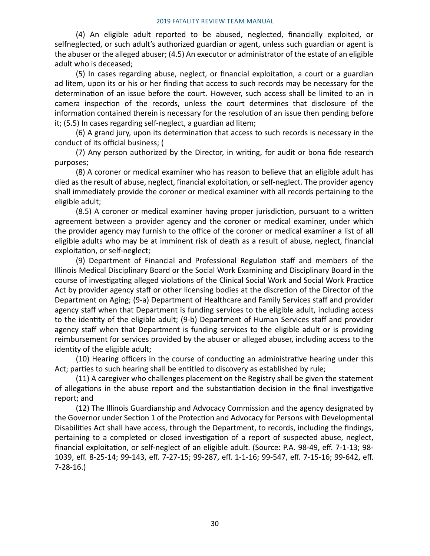(4) An eligible adult reported to be abused, neglected, financially exploited, or selfneglected, or such adult's authorized guardian or agent, unless such guardian or agent is the abuser or the alleged abuser; (4.5) An executor or administrator of the estate of an eligible adult who is deceased;

(5) In cases regarding abuse, neglect, or financial exploitation, a court or a guardian ad litem, upon its or his or her finding that access to such records may be necessary for the determination of an issue before the court. However, such access shall be limited to an in camera inspection of the records, unless the court determines that disclosure of the information contained therein is necessary for the resolution of an issue then pending before it; (5.5) In cases regarding self-neglect, a guardian ad litem;

(6) A grand jury, upon its determination that access to such records is necessary in the conduct of its official business; (

(7) Any person authorized by the Director, in writing, for audit or bona fide research purposes;

(8) A coroner or medical examiner who has reason to believe that an eligible adult has died as the result of abuse, neglect, financial exploitation, or self-neglect. The provider agency shall immediately provide the coroner or medical examiner with all records pertaining to the eligible adult;

(8.5) A coroner or medical examiner having proper jurisdiction, pursuant to a written agreement between a provider agency and the coroner or medical examiner, under which the provider agency may furnish to the office of the coroner or medical examiner a list of all eligible adults who may be at imminent risk of death as a result of abuse, neglect, financial exploitation, or self-neglect;

(9) Department of Financial and Professional Regulation staff and members of the Illinois Medical Disciplinary Board or the Social Work Examining and Disciplinary Board in the course of investigating alleged violations of the Clinical Social Work and Social Work Practice Act by provider agency staff or other licensing bodies at the discretion of the Director of the Department on Aging; (9-a) Department of Healthcare and Family Services staff and provider agency staff when that Department is funding services to the eligible adult, including access to the identity of the eligible adult; (9-b) Department of Human Services staff and provider agency staff when that Department is funding services to the eligible adult or is providing reimbursement for services provided by the abuser or alleged abuser, including access to the identity of the eligible adult;

(10) Hearing officers in the course of conducting an administrative hearing under this Act; parties to such hearing shall be entitled to discovery as established by rule;

(11) A caregiver who challenges placement on the Registry shall be given the statement of allegations in the abuse report and the substantiation decision in the final investigative report; and

(12) The Illinois Guardianship and Advocacy Commission and the agency designated by the Governor under Section 1 of the Protection and Advocacy for Persons with Developmental Disabilities Act shall have access, through the Department, to records, including the findings, pertaining to a completed or closed investigation of a report of suspected abuse, neglect, financial exploitation, or self-neglect of an eligible adult. (Source: P.A. 98-49, eff. 7-1-13; 98- 1039, eff. 8-25-14; 99-143, eff. 7-27-15; 99-287, eff. 1-1-16; 99-547, eff. 7-15-16; 99-642, eff. 7-28-16.)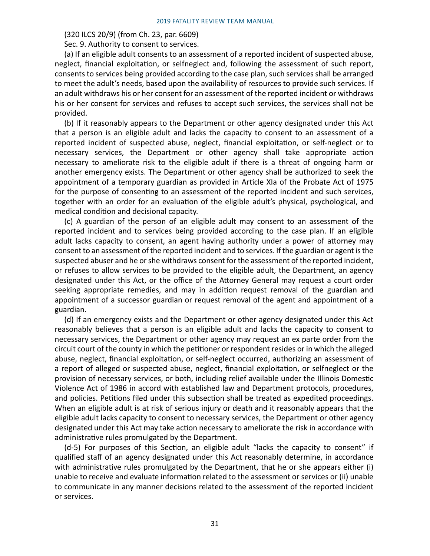#### (320 ILCS 20/9) (from Ch. 23, par. 6609)

Sec. 9. Authority to consent to services.

(a) If an eligible adult consents to an assessment of a reported incident of suspected abuse, neglect, financial exploitation, or selfneglect and, following the assessment of such report, consents to services being provided according to the case plan, such services shall be arranged to meet the adult's needs, based upon the availability of resources to provide such services. If an adult withdraws his or her consent for an assessment of the reported incident or withdraws his or her consent for services and refuses to accept such services, the services shall not be provided.

(b) If it reasonably appears to the Department or other agency designated under this Act that a person is an eligible adult and lacks the capacity to consent to an assessment of a reported incident of suspected abuse, neglect, financial exploitation, or self-neglect or to necessary services, the Department or other agency shall take appropriate action necessary to ameliorate risk to the eligible adult if there is a threat of ongoing harm or another emergency exists. The Department or other agency shall be authorized to seek the appointment of a temporary guardian as provided in Article XIa of the Probate Act of 1975 for the purpose of consenting to an assessment of the reported incident and such services, together with an order for an evaluation of the eligible adult's physical, psychological, and medical condition and decisional capacity.

(c) A guardian of the person of an eligible adult may consent to an assessment of the reported incident and to services being provided according to the case plan. If an eligible adult lacks capacity to consent, an agent having authority under a power of attorney may consent to an assessment of the reported incident and to services. If the guardian or agent is the suspected abuser and he or she withdraws consent for the assessment of the reported incident, or refuses to allow services to be provided to the eligible adult, the Department, an agency designated under this Act, or the office of the Attorney General may request a court order seeking appropriate remedies, and may in addition request removal of the guardian and appointment of a successor guardian or request removal of the agent and appointment of a guardian.

(d) If an emergency exists and the Department or other agency designated under this Act reasonably believes that a person is an eligible adult and lacks the capacity to consent to necessary services, the Department or other agency may request an ex parte order from the circuit court of the county in which the petitioner or respondent resides or in which the alleged abuse, neglect, financial exploitation, or self-neglect occurred, authorizing an assessment of a report of alleged or suspected abuse, neglect, financial exploitation, or selfneglect or the provision of necessary services, or both, including relief available under the Illinois Domestic Violence Act of 1986 in accord with established law and Department protocols, procedures, and policies. Petitions filed under this subsection shall be treated as expedited proceedings. When an eligible adult is at risk of serious injury or death and it reasonably appears that the eligible adult lacks capacity to consent to necessary services, the Department or other agency designated under this Act may take action necessary to ameliorate the risk in accordance with administrative rules promulgated by the Department.

(d-5) For purposes of this Section, an eligible adult "lacks the capacity to consent" if qualified staff of an agency designated under this Act reasonably determine, in accordance with administrative rules promulgated by the Department, that he or she appears either (i) unable to receive and evaluate information related to the assessment or services or (ii) unable to communicate in any manner decisions related to the assessment of the reported incident or services.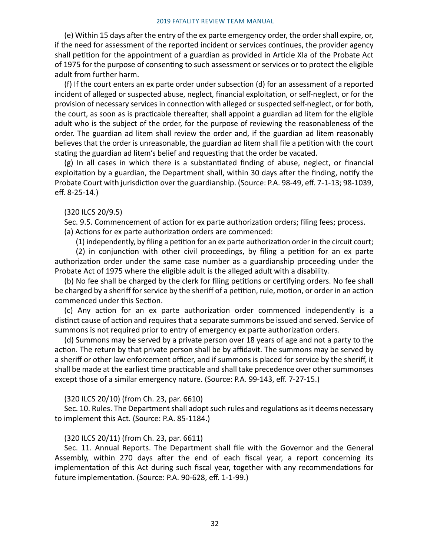(e) Within 15 days after the entry of the ex parte emergency order, the order shall expire, or, if the need for assessment of the reported incident or services continues, the provider agency shall petition for the appointment of a guardian as provided in Article XIa of the Probate Act of 1975 for the purpose of consenting to such assessment or services or to protect the eligible adult from further harm.

(f) If the court enters an ex parte order under subsection (d) for an assessment of a reported incident of alleged or suspected abuse, neglect, financial exploitation, or self-neglect, or for the provision of necessary services in connection with alleged or suspected self-neglect, or for both, the court, as soon as is practicable thereafter, shall appoint a guardian ad litem for the eligible adult who is the subject of the order, for the purpose of reviewing the reasonableness of the order. The guardian ad litem shall review the order and, if the guardian ad litem reasonably believes that the order is unreasonable, the guardian ad litem shall file a petition with the court stating the guardian ad litem's belief and requesting that the order be vacated.

(g) In all cases in which there is a substantiated finding of abuse, neglect, or financial exploitation by a guardian, the Department shall, within 30 days after the finding, notify the Probate Court with jurisdiction over the guardianship. (Source: P.A. 98-49, eff. 7-1-13; 98-1039, eff. 8-25-14.)

#### (320 ILCS 20/9.5)

Sec. 9.5. Commencement of action for ex parte authorization orders; filing fees; process. (a) Actions for ex parte authorization orders are commenced:

(1) independently, by filing a petition for an ex parte authorization order in the circuit court;

(2) in conjunction with other civil proceedings, by filing a petition for an ex parte authorization order under the same case number as a guardianship proceeding under the Probate Act of 1975 where the eligible adult is the alleged adult with a disability.

(b) No fee shall be charged by the clerk for filing petitions or certifying orders. No fee shall be charged by a sheriff for service by the sheriff of a petition, rule, motion, or order in an action commenced under this Section.

(c) Any action for an ex parte authorization order commenced independently is a distinct cause of action and requires that a separate summons be issued and served. Service of summons is not required prior to entry of emergency ex parte authorization orders.

(d) Summons may be served by a private person over 18 years of age and not a party to the action. The return by that private person shall be by affidavit. The summons may be served by a sheriff or other law enforcement officer, and if summons is placed for service by the sheriff, it shall be made at the earliest time practicable and shall take precedence over other summonses except those of a similar emergency nature. (Source: P.A. 99-143, eff. 7-27-15.)

#### (320 ILCS 20/10) (from Ch. 23, par. 6610)

Sec. 10. Rules. The Department shall adopt such rules and regulations as it deems necessary to implement this Act. (Source: P.A. 85-1184.)

#### (320 ILCS 20/11) (from Ch. 23, par. 6611)

Sec. 11. Annual Reports. The Department shall file with the Governor and the General Assembly, within 270 days after the end of each fiscal year, a report concerning its implementation of this Act during such fiscal year, together with any recommendations for future implementation. (Source: P.A. 90-628, eff. 1-1-99.)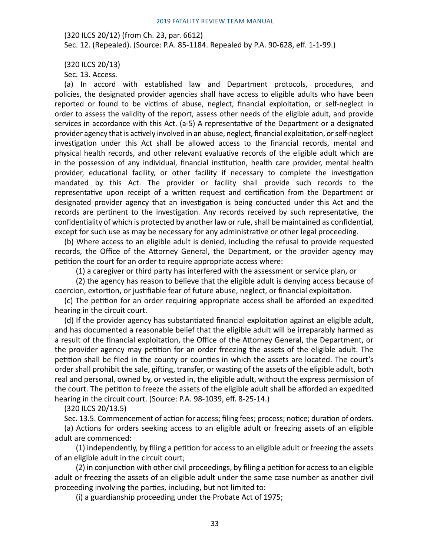(320 ILCS 20/12) (from Ch. 23, par. 6612) Sec. 12. (Repealed). (Source: P.A. 85-1184. Repealed by P.A. 90-628, eff. 1-1-99.)

(320 ILCS 20/13)

Sec. 13. Access.

(a) In accord with established law and Department protocols, procedures, and policies, the designated provider agencies shall have access to eligible adults who have been reported or found to be victims of abuse, neglect, financial exploitation, or self-neglect in order to assess the validity of the report, assess other needs of the eligible adult, and provide services in accordance with this Act. (a-5) A representative of the Department or a designated provider agency that is actively involved in an abuse, neglect, financial exploitation, or self-neglect investigation under this Act shall be allowed access to the financial records, mental and physical health records, and other relevant evaluative records of the eligible adult which are in the possession of any individual, financial institution, health care provider, mental health provider, educational facility, or other facility if necessary to complete the investigation mandated by this Act. The provider or facility shall provide such records to the representative upon receipt of a written request and certification from the Department or designated provider agency that an investigation is being conducted under this Act and the records are pertinent to the investigation. Any records received by such representative, the confidentiality of which is protected by another law or rule, shall be maintained as confidential, except for such use as may be necessary for any administrative or other legal proceeding.

(b) Where access to an eligible adult is denied, including the refusal to provide requested records, the Office of the Attorney General, the Department, or the provider agency may petition the court for an order to require appropriate access where:

(1) a caregiver or third party has interfered with the assessment or service plan, or

(2) the agency has reason to believe that the eligible adult is denying access because of coercion, extortion, or justifiable fear of future abuse, neglect, or financial exploitation.

(c) The petition for an order requiring appropriate access shall be afforded an expedited hearing in the circuit court.

(d) If the provider agency has substantiated financial exploitation against an eligible adult, and has documented a reasonable belief that the eligible adult will be irreparably harmed as a result of the financial exploitation, the Office of the Attorney General, the Department, or the provider agency may petition for an order freezing the assets of the eligible adult. The petition shall be filed in the county or counties in which the assets are located. The court's order shall prohibit the sale, gifting, transfer, or wasting of the assets of the eligible adult, both real and personal, owned by, or vested in, the eligible adult, without the express permission of the court. The petition to freeze the assets of the eligible adult shall be afforded an expedited hearing in the circuit court. (Source: P.A. 98-1039, eff. 8-25-14.)

(320 ILCS 20/13.5)

Sec. 13.5. Commencement of action for access; filing fees; process; notice; duration of orders.

(a) Actions for orders seeking access to an eligible adult or freezing assets of an eligible adult are commenced:

(1) independently, by filing a petition for access to an eligible adult or freezing the assets of an eligible adult in the circuit court;

(2) in conjunction with other civil proceedings, by filing a petition for access to an eligible adult or freezing the assets of an eligible adult under the same case number as another civil proceeding involving the parties, including, but not limited to:

(i) a guardianship proceeding under the Probate Act of 1975;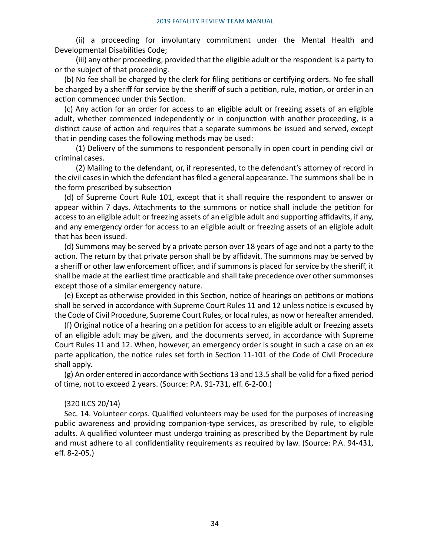(ii) a proceeding for involuntary commitment under the Mental Health and Developmental Disabilities Code;

(iii) any other proceeding, provided that the eligible adult or the respondent is a party to or the subject of that proceeding.

(b) No fee shall be charged by the clerk for filing petitions or certifying orders. No fee shall be charged by a sheriff for service by the sheriff of such a petition, rule, motion, or order in an action commenced under this Section.

(c) Any action for an order for access to an eligible adult or freezing assets of an eligible adult, whether commenced independently or in conjunction with another proceeding, is a distinct cause of action and requires that a separate summons be issued and served, except that in pending cases the following methods may be used:

(1) Delivery of the summons to respondent personally in open court in pending civil or criminal cases.

(2) Mailing to the defendant, or, if represented, to the defendant's attorney of record in the civil cases in which the defendant has filed a general appearance. The summons shall be in the form prescribed by subsection

(d) of Supreme Court Rule 101, except that it shall require the respondent to answer or appear within 7 days. Attachments to the summons or notice shall include the petition for access to an eligible adult or freezing assets of an eligible adult and supporting affidavits, if any, and any emergency order for access to an eligible adult or freezing assets of an eligible adult that has been issued.

(d) Summons may be served by a private person over 18 years of age and not a party to the action. The return by that private person shall be by affidavit. The summons may be served by a sheriff or other law enforcement officer, and if summons is placed for service by the sheriff, it shall be made at the earliest time practicable and shall take precedence over other summonses except those of a similar emergency nature.

(e) Except as otherwise provided in this Section, notice of hearings on petitions or motions shall be served in accordance with Supreme Court Rules 11 and 12 unless notice is excused by the Code of Civil Procedure, Supreme Court Rules, or local rules, as now or hereafter amended.

(f) Original notice of a hearing on a petition for access to an eligible adult or freezing assets of an eligible adult may be given, and the documents served, in accordance with Supreme Court Rules 11 and 12. When, however, an emergency order is sought in such a case on an ex parte application, the notice rules set forth in Section 11-101 of the Code of Civil Procedure shall apply.

(g) An order entered in accordance with Sections 13 and 13.5 shall be valid for a fixed period of time, not to exceed 2 years. (Source: P.A. 91-731, eff. 6-2-00.)

### (320 ILCS 20/14)

Sec. 14. Volunteer corps. Qualified volunteers may be used for the purposes of increasing public awareness and providing companion-type services, as prescribed by rule, to eligible adults. A qualified volunteer must undergo training as prescribed by the Department by rule and must adhere to all confidentiality requirements as required by law. (Source: P.A. 94-431, eff. 8-2-05.)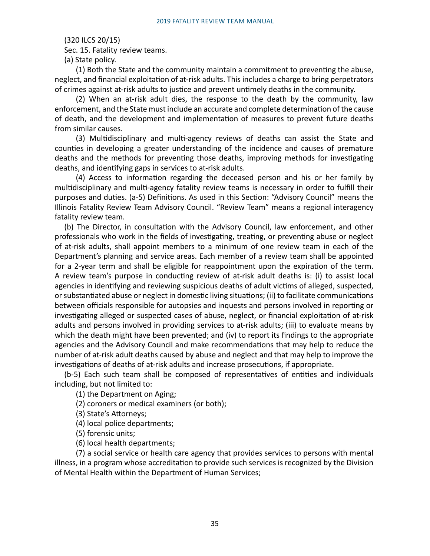(320 ILCS 20/15)

Sec. 15. Fatality review teams.

(a) State policy.

(1) Both the State and the community maintain a commitment to preventing the abuse, neglect, and financial exploitation of at-risk adults. This includes a charge to bring perpetrators of crimes against at-risk adults to justice and prevent untimely deaths in the community.

(2) When an at-risk adult dies, the response to the death by the community, law enforcement, and the State must include an accurate and complete determination of the cause of death, and the development and implementation of measures to prevent future deaths from similar causes.

(3) Multidisciplinary and multi-agency reviews of deaths can assist the State and counties in developing a greater understanding of the incidence and causes of premature deaths and the methods for preventing those deaths, improving methods for investigating deaths, and identifying gaps in services to at-risk adults.

(4) Access to information regarding the deceased person and his or her family by multidisciplinary and multi-agency fatality review teams is necessary in order to fulfill their purposes and duties. (a-5) Definitions. As used in this Section: "Advisory Council" means the Illinois Fatality Review Team Advisory Council. "Review Team" means a regional interagency fatality review team.

(b) The Director, in consultation with the Advisory Council, law enforcement, and other professionals who work in the fields of investigating, treating, or preventing abuse or neglect of at-risk adults, shall appoint members to a minimum of one review team in each of the Department's planning and service areas. Each member of a review team shall be appointed for a 2-year term and shall be eligible for reappointment upon the expiration of the term. A review team's purpose in conducting review of at-risk adult deaths is: (i) to assist local agencies in identifying and reviewing suspicious deaths of adult victims of alleged, suspected, or substantiated abuse or neglect in domestic living situations; (ii) to facilitate communications between officials responsible for autopsies and inquests and persons involved in reporting or investigating alleged or suspected cases of abuse, neglect, or financial exploitation of at-risk adults and persons involved in providing services to at-risk adults; (iii) to evaluate means by which the death might have been prevented; and (iv) to report its findings to the appropriate agencies and the Advisory Council and make recommendations that may help to reduce the number of at-risk adult deaths caused by abuse and neglect and that may help to improve the investigations of deaths of at-risk adults and increase prosecutions, if appropriate.

(b-5) Each such team shall be composed of representatives of entities and individuals including, but not limited to:

(1) the Department on Aging;

(2) coroners or medical examiners (or both);

(3) State's Attorneys;

(4) local police departments;

(5) forensic units;

(6) local health departments;

(7) a social service or health care agency that provides services to persons with mental illness, in a program whose accreditation to provide such services is recognized by the Division of Mental Health within the Department of Human Services;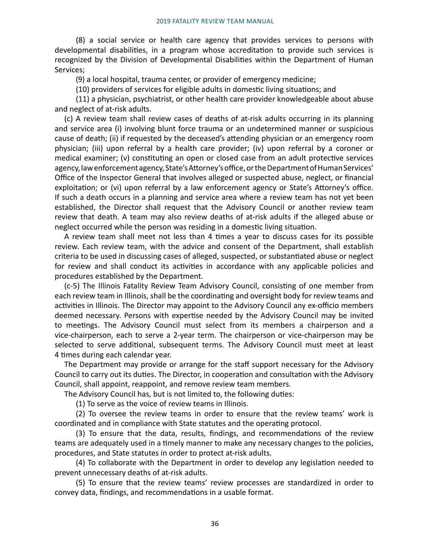(8) a social service or health care agency that provides services to persons with developmental disabilities, in a program whose accreditation to provide such services is recognized by the Division of Developmental Disabilities within the Department of Human Services;

(9) a local hospital, trauma center, or provider of emergency medicine;

(10) providers of services for eligible adults in domestic living situations; and

(11) a physician, psychiatrist, or other health care provider knowledgeable about abuse and neglect of at-risk adults.

(c) A review team shall review cases of deaths of at-risk adults occurring in its planning and service area (i) involving blunt force trauma or an undetermined manner or suspicious cause of death; (ii) if requested by the deceased's attending physician or an emergency room physician; (iii) upon referral by a health care provider; (iv) upon referral by a coroner or medical examiner; (v) constituting an open or closed case from an adult protective services agency, law enforcement agency, State's Attorney's office, or the Department of Human Services' Office of the Inspector General that involves alleged or suspected abuse, neglect, or financial exploitation; or (vi) upon referral by a law enforcement agency or State's Attorney's office. If such a death occurs in a planning and service area where a review team has not yet been established, the Director shall request that the Advisory Council or another review team review that death. A team may also review deaths of at-risk adults if the alleged abuse or neglect occurred while the person was residing in a domestic living situation.

A review team shall meet not less than 4 times a year to discuss cases for its possible review. Each review team, with the advice and consent of the Department, shall establish criteria to be used in discussing cases of alleged, suspected, or substantiated abuse or neglect for review and shall conduct its activities in accordance with any applicable policies and procedures established by the Department.

(c-5) The Illinois Fatality Review Team Advisory Council, consisting of one member from each review team in Illinois, shall be the coordinating and oversight body for review teams and activities in Illinois. The Director may appoint to the Advisory Council any ex-officio members deemed necessary. Persons with expertise needed by the Advisory Council may be invited to meetings. The Advisory Council must select from its members a chairperson and a vice-chairperson, each to serve a 2-year term. The chairperson or vice-chairperson may be selected to serve additional, subsequent terms. The Advisory Council must meet at least 4 times during each calendar year.

The Department may provide or arrange for the staff support necessary for the Advisory Council to carry out its duties. The Director, in cooperation and consultation with the Advisory Council, shall appoint, reappoint, and remove review team members.

The Advisory Council has, but is not limited to, the following duties:

(1) To serve as the voice of review teams in Illinois.

(2) To oversee the review teams in order to ensure that the review teams' work is coordinated and in compliance with State statutes and the operating protocol.

(3) To ensure that the data, results, findings, and recommendations of the review teams are adequately used in a timely manner to make any necessary changes to the policies, procedures, and State statutes in order to protect at-risk adults.

(4) To collaborate with the Department in order to develop any legislation needed to prevent unnecessary deaths of at-risk adults.

(5) To ensure that the review teams' review processes are standardized in order to convey data, findings, and recommendations in a usable format.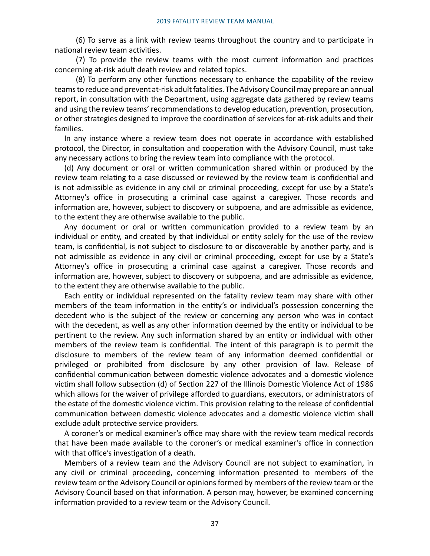(6) To serve as a link with review teams throughout the country and to participate in national review team activities.

(7) To provide the review teams with the most current information and practices concerning at-risk adult death review and related topics.

(8) To perform any other functions necessary to enhance the capability of the review teams to reduce and prevent at-risk adult fatalities. The Advisory Council may prepare an annual report, in consultation with the Department, using aggregate data gathered by review teams and using the review teams' recommendations to develop education, prevention, prosecution, or other strategies designed to improve the coordination of services for at-risk adults and their families.

In any instance where a review team does not operate in accordance with established protocol, the Director, in consultation and cooperation with the Advisory Council, must take any necessary actions to bring the review team into compliance with the protocol.

(d) Any document or oral or written communication shared within or produced by the review team relating to a case discussed or reviewed by the review team is confidential and is not admissible as evidence in any civil or criminal proceeding, except for use by a State's Attorney's office in prosecuting a criminal case against a caregiver. Those records and information are, however, subject to discovery or subpoena, and are admissible as evidence, to the extent they are otherwise available to the public.

Any document or oral or written communication provided to a review team by an individual or entity, and created by that individual or entity solely for the use of the review team, is confidential, is not subject to disclosure to or discoverable by another party, and is not admissible as evidence in any civil or criminal proceeding, except for use by a State's Attorney's office in prosecuting a criminal case against a caregiver. Those records and information are, however, subject to discovery or subpoena, and are admissible as evidence, to the extent they are otherwise available to the public.

Each entity or individual represented on the fatality review team may share with other members of the team information in the entity's or individual's possession concerning the decedent who is the subject of the review or concerning any person who was in contact with the decedent, as well as any other information deemed by the entity or individual to be pertinent to the review. Any such information shared by an entity or individual with other members of the review team is confidential. The intent of this paragraph is to permit the disclosure to members of the review team of any information deemed confidential or privileged or prohibited from disclosure by any other provision of law. Release of confidential communication between domestic violence advocates and a domestic violence victim shall follow subsection (d) of Section 227 of the Illinois Domestic Violence Act of 1986 which allows for the waiver of privilege afforded to guardians, executors, or administrators of the estate of the domestic violence victim. This provision relating to the release of confidential communication between domestic violence advocates and a domestic violence victim shall exclude adult protective service providers.

A coroner's or medical examiner's office may share with the review team medical records that have been made available to the coroner's or medical examiner's office in connection with that office's investigation of a death.

Members of a review team and the Advisory Council are not subject to examination, in any civil or criminal proceeding, concerning information presented to members of the review team or the Advisory Council or opinions formed by members of the review team or the Advisory Council based on that information. A person may, however, be examined concerning information provided to a review team or the Advisory Council.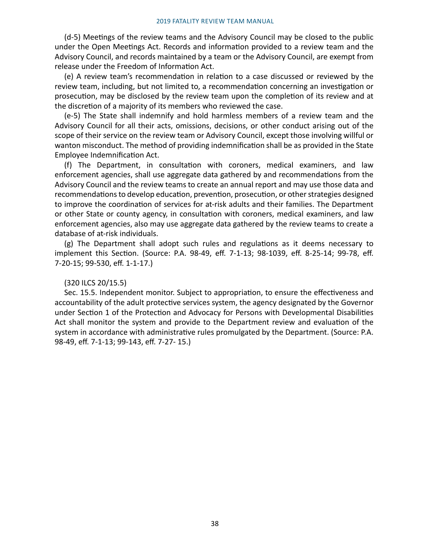(d-5) Meetings of the review teams and the Advisory Council may be closed to the public under the Open Meetings Act. Records and information provided to a review team and the Advisory Council, and records maintained by a team or the Advisory Council, are exempt from release under the Freedom of Information Act.

(e) A review team's recommendation in relation to a case discussed or reviewed by the review team, including, but not limited to, a recommendation concerning an investigation or prosecution, may be disclosed by the review team upon the completion of its review and at the discretion of a majority of its members who reviewed the case.

(e-5) The State shall indemnify and hold harmless members of a review team and the Advisory Council for all their acts, omissions, decisions, or other conduct arising out of the scope of their service on the review team or Advisory Council, except those involving willful or wanton misconduct. The method of providing indemnification shall be as provided in the State Employee Indemnification Act.

(f) The Department, in consultation with coroners, medical examiners, and law enforcement agencies, shall use aggregate data gathered by and recommendations from the Advisory Council and the review teams to create an annual report and may use those data and recommendations to develop education, prevention, prosecution, or other strategies designed to improve the coordination of services for at-risk adults and their families. The Department or other State or county agency, in consultation with coroners, medical examiners, and law enforcement agencies, also may use aggregate data gathered by the review teams to create a database of at-risk individuals.

(g) The Department shall adopt such rules and regulations as it deems necessary to implement this Section. (Source: P.A. 98-49, eff. 7-1-13; 98-1039, eff. 8-25-14; 99-78, eff. 7-20-15; 99-530, eff. 1-1-17.)

#### (320 ILCS 20/15.5)

Sec. 15.5. Independent monitor. Subject to appropriation, to ensure the effectiveness and accountability of the adult protective services system, the agency designated by the Governor under Section 1 of the Protection and Advocacy for Persons with Developmental Disabilities Act shall monitor the system and provide to the Department review and evaluation of the system in accordance with administrative rules promulgated by the Department. (Source: P.A. 98-49, eff. 7-1-13; 99-143, eff. 7-27- 15.)